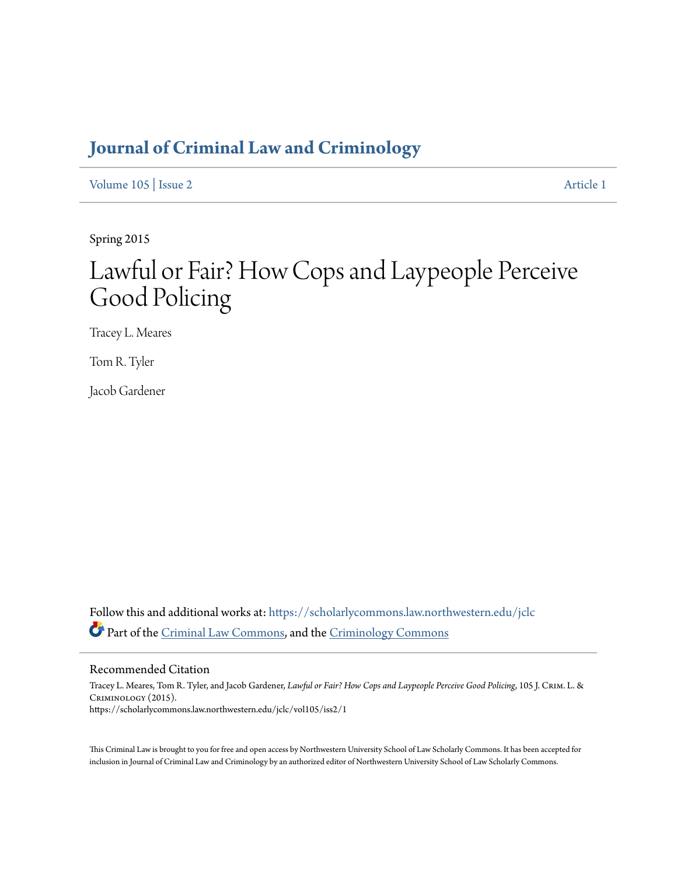# **[Journal of Criminal Law and Criminology](https://scholarlycommons.law.northwestern.edu/jclc?utm_source=scholarlycommons.law.northwestern.edu%2Fjclc%2Fvol105%2Fiss2%2F1&utm_medium=PDF&utm_campaign=PDFCoverPages)**

[Volume 105](https://scholarlycommons.law.northwestern.edu/jclc/vol105?utm_source=scholarlycommons.law.northwestern.edu%2Fjclc%2Fvol105%2Fiss2%2F1&utm_medium=PDF&utm_campaign=PDFCoverPages) | [Issue 2](https://scholarlycommons.law.northwestern.edu/jclc/vol105/iss2?utm_source=scholarlycommons.law.northwestern.edu%2Fjclc%2Fvol105%2Fiss2%2F1&utm_medium=PDF&utm_campaign=PDFCoverPages) [Article 1](https://scholarlycommons.law.northwestern.edu/jclc/vol105/iss2/1?utm_source=scholarlycommons.law.northwestern.edu%2Fjclc%2Fvol105%2Fiss2%2F1&utm_medium=PDF&utm_campaign=PDFCoverPages)

Spring 2015

# Lawful or Fair? How Cops and Laypeople Perceive Good Policing

Tracey L. Meares

Tom R. Tyler

Jacob Gardener

Follow this and additional works at: [https://scholarlycommons.law.northwestern.edu/jclc](https://scholarlycommons.law.northwestern.edu/jclc?utm_source=scholarlycommons.law.northwestern.edu%2Fjclc%2Fvol105%2Fiss2%2F1&utm_medium=PDF&utm_campaign=PDFCoverPages) Part of the [Criminal Law Commons](http://network.bepress.com/hgg/discipline/912?utm_source=scholarlycommons.law.northwestern.edu%2Fjclc%2Fvol105%2Fiss2%2F1&utm_medium=PDF&utm_campaign=PDFCoverPages), and the [Criminology Commons](http://network.bepress.com/hgg/discipline/417?utm_source=scholarlycommons.law.northwestern.edu%2Fjclc%2Fvol105%2Fiss2%2F1&utm_medium=PDF&utm_campaign=PDFCoverPages)

#### Recommended Citation

Tracey L. Meares, Tom R. Tyler, and Jacob Gardener, *Lawful or Fair? How Cops and Laypeople Perceive Good Policing*, 105 J. Crim. L. & Criminology (2015). https://scholarlycommons.law.northwestern.edu/jclc/vol105/iss2/1

This Criminal Law is brought to you for free and open access by Northwestern University School of Law Scholarly Commons. It has been accepted for inclusion in Journal of Criminal Law and Criminology by an authorized editor of Northwestern University School of Law Scholarly Commons.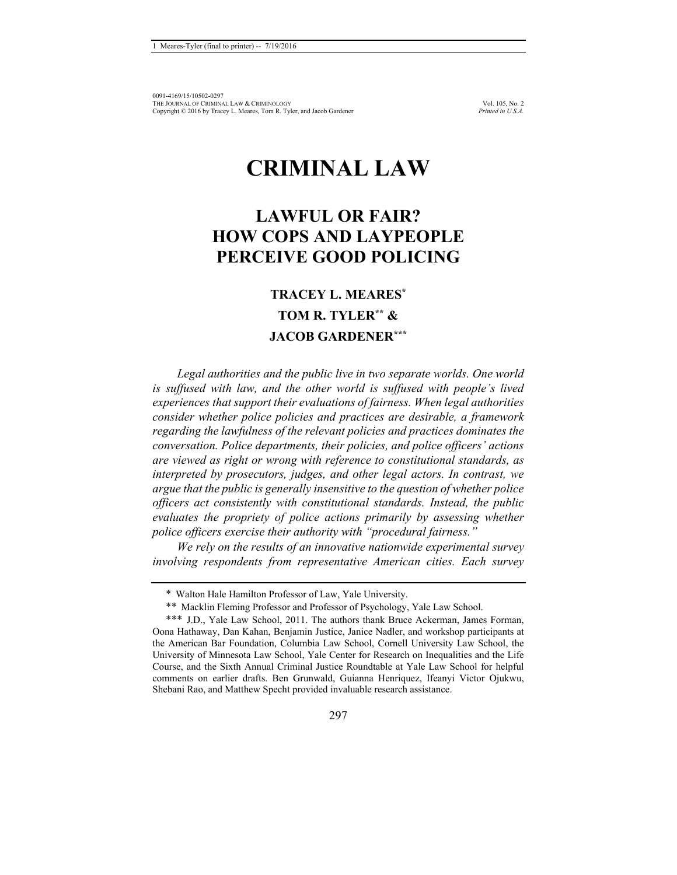# **CRIMINAL LAW**

## **LAWFUL OR FAIR? HOW COPS AND LAYPEOPLE PERCEIVE GOOD POLICING**

### **TRACEY L. MEARES\* TOM R. TYLER\*\* & JACOB GARDENER\*\*\***

*Legal authorities and the public live in two separate worlds. One world is suffused with law, and the other world is suffused with people's lived experiences that support their evaluations of fairness. When legal authorities consider whether police policies and practices are desirable, a framework regarding the lawfulness of the relevant policies and practices dominates the conversation. Police departments, their policies, and police officers' actions are viewed as right or wrong with reference to constitutional standards, as interpreted by prosecutors, judges, and other legal actors. In contrast, we argue that the public is generally insensitive to the question of whether police officers act consistently with constitutional standards. Instead, the public evaluates the propriety of police actions primarily by assessing whether police officers exercise their authority with "procedural fairness."* 

*We rely on the results of an innovative nationwide experimental survey involving respondents from representative American cities. Each survey* 

<sup>\*</sup> Walton Hale Hamilton Professor of Law, Yale University.

<sup>\*\*</sup> Macklin Fleming Professor and Professor of Psychology, Yale Law School.

<sup>\*\*\*</sup> J.D., Yale Law School, 2011. The authors thank Bruce Ackerman, James Forman, Oona Hathaway, Dan Kahan, Benjamin Justice, Janice Nadler, and workshop participants at the American Bar Foundation, Columbia Law School, Cornell University Law School, the University of Minnesota Law School, Yale Center for Research on Inequalities and the Life Course, and the Sixth Annual Criminal Justice Roundtable at Yale Law School for helpful comments on earlier drafts. Ben Grunwald, Guianna Henriquez, Ifeanyi Victor Ojukwu, Shebani Rao, and Matthew Specht provided invaluable research assistance.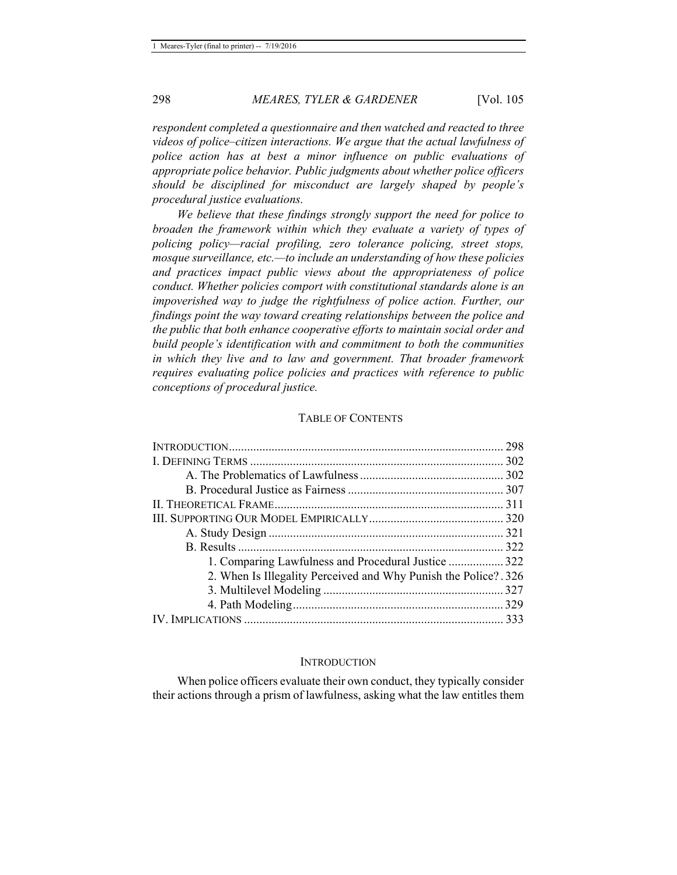*respondent completed a questionnaire and then watched and reacted to three videos of police–citizen interactions. We argue that the actual lawfulness of police action has at best a minor influence on public evaluations of appropriate police behavior. Public judgments about whether police officers should be disciplined for misconduct are largely shaped by people's procedural justice evaluations.* 

*We believe that these findings strongly support the need for police to broaden the framework within which they evaluate a variety of types of policing policy—racial profiling, zero tolerance policing, street stops, mosque surveillance, etc.—to include an understanding of how these policies and practices impact public views about the appropriateness of police conduct. Whether policies comport with constitutional standards alone is an impoverished way to judge the rightfulness of police action. Further, our findings point the way toward creating relationships between the police and the public that both enhance cooperative efforts to maintain social order and build people's identification with and commitment to both the communities in which they live and to law and government. That broader framework requires evaluating police policies and practices with reference to public conceptions of procedural justice.* 

#### TABLE OF CONTENTS

| 1. Comparing Lawfulness and Procedural Justice  322             |  |
|-----------------------------------------------------------------|--|
| 2. When Is Illegality Perceived and Why Punish the Police? .326 |  |
|                                                                 |  |
|                                                                 |  |
|                                                                 |  |

#### **INTRODUCTION**

When police officers evaluate their own conduct, they typically consider their actions through a prism of lawfulness, asking what the law entitles them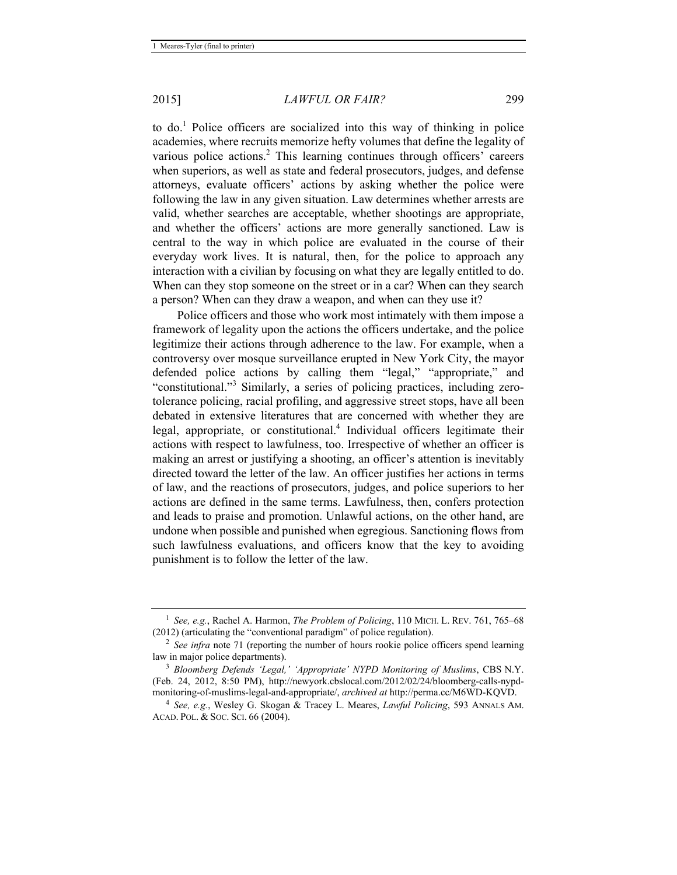to do.<sup>1</sup> Police officers are socialized into this way of thinking in police academies, where recruits memorize hefty volumes that define the legality of various police actions.<sup>2</sup> This learning continues through officers' careers when superiors, as well as state and federal prosecutors, judges, and defense attorneys, evaluate officers' actions by asking whether the police were following the law in any given situation. Law determines whether arrests are valid, whether searches are acceptable, whether shootings are appropriate, and whether the officers' actions are more generally sanctioned. Law is central to the way in which police are evaluated in the course of their everyday work lives. It is natural, then, for the police to approach any interaction with a civilian by focusing on what they are legally entitled to do. When can they stop someone on the street or in a car? When can they search a person? When can they draw a weapon, and when can they use it?

Police officers and those who work most intimately with them impose a framework of legality upon the actions the officers undertake, and the police legitimize their actions through adherence to the law. For example, when a controversy over mosque surveillance erupted in New York City, the mayor defended police actions by calling them "legal," "appropriate," and "constitutional."<sup>3</sup> Similarly, a series of policing practices, including zerotolerance policing, racial profiling, and aggressive street stops, have all been debated in extensive literatures that are concerned with whether they are legal, appropriate, or constitutional.<sup>4</sup> Individual officers legitimate their actions with respect to lawfulness, too. Irrespective of whether an officer is making an arrest or justifying a shooting, an officer's attention is inevitably directed toward the letter of the law. An officer justifies her actions in terms of law, and the reactions of prosecutors, judges, and police superiors to her actions are defined in the same terms. Lawfulness, then, confers protection and leads to praise and promotion. Unlawful actions, on the other hand, are undone when possible and punished when egregious. Sanctioning flows from such lawfulness evaluations, and officers know that the key to avoiding punishment is to follow the letter of the law.

<sup>&</sup>lt;sup>1</sup> *See, e.g.*, Rachel A. Harmon, *The Problem of Policing*, 110 MICH. L. REV. 761, 765–68 (2012) (articulating the "conventional paradigm" of police regulation).

<sup>&</sup>lt;sup>2</sup> *See infra* note 71 (reporting the number of hours rookie police officers spend learning law in major police departments).

<sup>&</sup>lt;sup>3</sup> Bloomberg Defends 'Legal,' 'Appropriate' NYPD Monitoring of Muslims, CBS N.Y. (Feb. 24, 2012, 8:50 PM), http://newyork.cbslocal.com/2012/02/24/bloomberg-calls-nypdmonitoring-of-muslims-legal-and-appropriate/, *archived at* http://perma.cc/M6WD-KQVD. 4 *See, e.g.*, Wesley G. Skogan & Tracey L. Meares, *Lawful Policing*, 593 ANNALS AM.

ACAD. POL. & SOC. SCI. 66 (2004).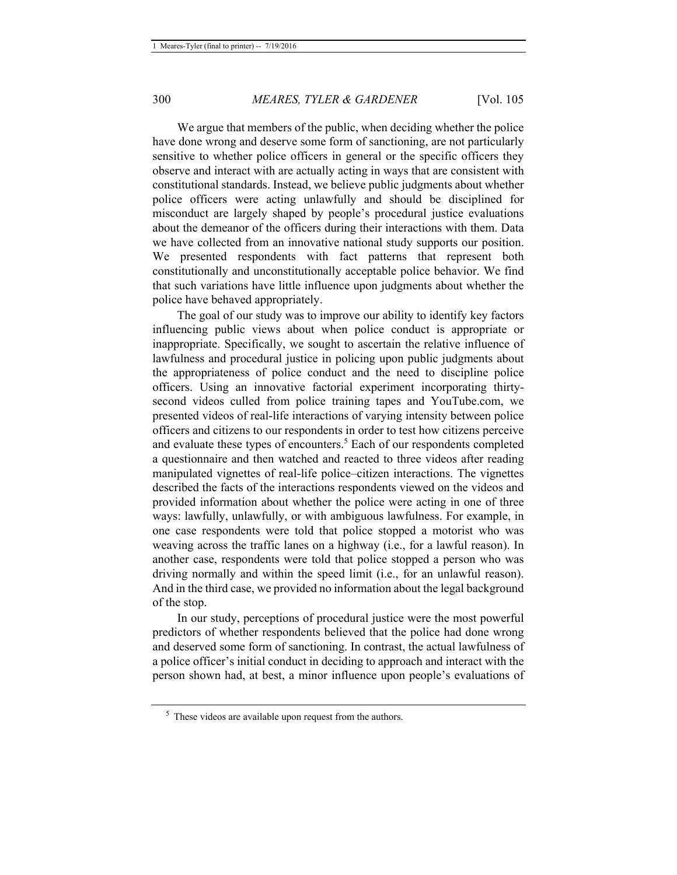We argue that members of the public, when deciding whether the police have done wrong and deserve some form of sanctioning, are not particularly sensitive to whether police officers in general or the specific officers they observe and interact with are actually acting in ways that are consistent with constitutional standards. Instead, we believe public judgments about whether police officers were acting unlawfully and should be disciplined for misconduct are largely shaped by people's procedural justice evaluations about the demeanor of the officers during their interactions with them. Data we have collected from an innovative national study supports our position. We presented respondents with fact patterns that represent both constitutionally and unconstitutionally acceptable police behavior. We find that such variations have little influence upon judgments about whether the police have behaved appropriately.

The goal of our study was to improve our ability to identify key factors influencing public views about when police conduct is appropriate or inappropriate. Specifically, we sought to ascertain the relative influence of lawfulness and procedural justice in policing upon public judgments about the appropriateness of police conduct and the need to discipline police officers. Using an innovative factorial experiment incorporating thirtysecond videos culled from police training tapes and YouTube.com, we presented videos of real-life interactions of varying intensity between police officers and citizens to our respondents in order to test how citizens perceive and evaluate these types of encounters.<sup>5</sup> Each of our respondents completed a questionnaire and then watched and reacted to three videos after reading manipulated vignettes of real-life police–citizen interactions. The vignettes described the facts of the interactions respondents viewed on the videos and provided information about whether the police were acting in one of three ways: lawfully, unlawfully, or with ambiguous lawfulness. For example, in one case respondents were told that police stopped a motorist who was weaving across the traffic lanes on a highway (i.e., for a lawful reason). In another case, respondents were told that police stopped a person who was driving normally and within the speed limit (i.e., for an unlawful reason). And in the third case, we provided no information about the legal background of the stop.

In our study, perceptions of procedural justice were the most powerful predictors of whether respondents believed that the police had done wrong and deserved some form of sanctioning. In contrast, the actual lawfulness of a police officer's initial conduct in deciding to approach and interact with the person shown had, at best, a minor influence upon people's evaluations of

<sup>&</sup>lt;sup>5</sup> These videos are available upon request from the authors.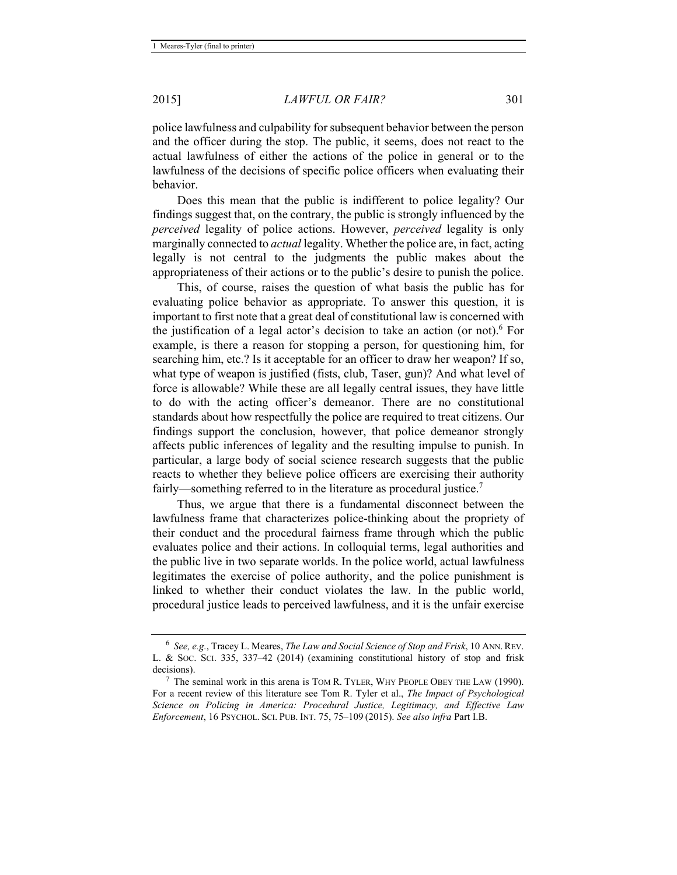police lawfulness and culpability for subsequent behavior between the person and the officer during the stop. The public, it seems, does not react to the actual lawfulness of either the actions of the police in general or to the lawfulness of the decisions of specific police officers when evaluating their behavior.

Does this mean that the public is indifferent to police legality? Our findings suggest that, on the contrary, the public is strongly influenced by the *perceived* legality of police actions. However, *perceived* legality is only marginally connected to *actual* legality. Whether the police are, in fact, acting legally is not central to the judgments the public makes about the appropriateness of their actions or to the public's desire to punish the police.

This, of course, raises the question of what basis the public has for evaluating police behavior as appropriate. To answer this question, it is important to first note that a great deal of constitutional law is concerned with the justification of a legal actor's decision to take an action (or not).<sup>6</sup> For example, is there a reason for stopping a person, for questioning him, for searching him, etc.? Is it acceptable for an officer to draw her weapon? If so, what type of weapon is justified (fists, club, Taser, gun)? And what level of force is allowable? While these are all legally central issues, they have little to do with the acting officer's demeanor. There are no constitutional standards about how respectfully the police are required to treat citizens. Our findings support the conclusion, however, that police demeanor strongly affects public inferences of legality and the resulting impulse to punish. In particular, a large body of social science research suggests that the public reacts to whether they believe police officers are exercising their authority fairly—something referred to in the literature as procedural justice.<sup>7</sup>

Thus, we argue that there is a fundamental disconnect between the lawfulness frame that characterizes police-thinking about the propriety of their conduct and the procedural fairness frame through which the public evaluates police and their actions. In colloquial terms, legal authorities and the public live in two separate worlds. In the police world, actual lawfulness legitimates the exercise of police authority, and the police punishment is linked to whether their conduct violates the law. In the public world, procedural justice leads to perceived lawfulness, and it is the unfair exercise

<sup>6</sup> *See, e.g.*, Tracey L. Meares, *The Law and Social Science of Stop and Frisk*, 10 ANN.REV. L. & SOC. SCI. 335, 337–42 (2014) (examining constitutional history of stop and frisk decisions).

 $7$  The seminal work in this arena is TOM R. TYLER, WHY PEOPLE OBEY THE LAW (1990). For a recent review of this literature see Tom R. Tyler et al., *The Impact of Psychological Science on Policing in America: Procedural Justice, Legitimacy, and Effective Law Enforcement*, 16 PSYCHOL. SCI. PUB. INT. 75, 75–109 (2015). *See also infra* Part I.B.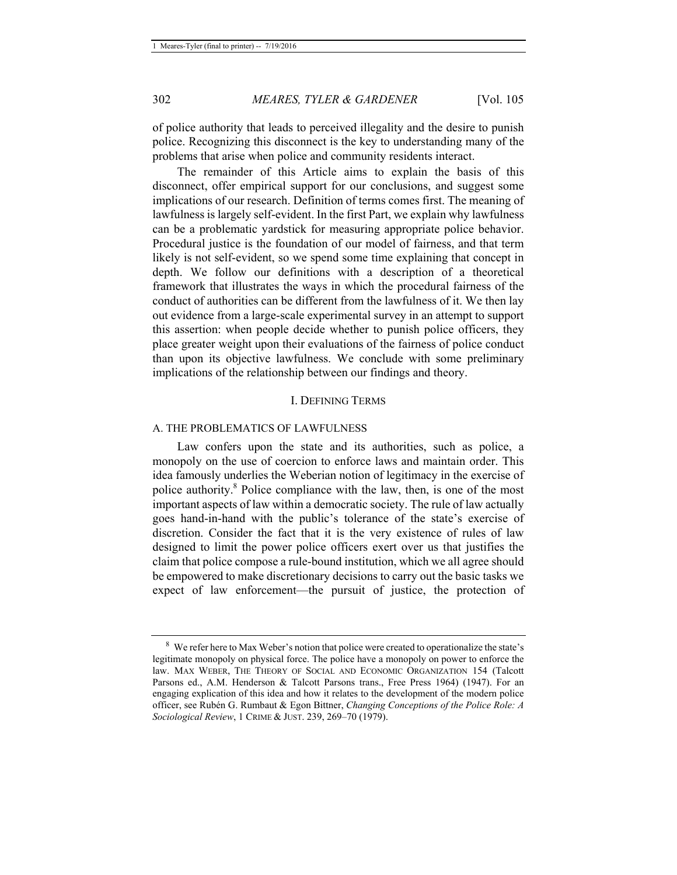of police authority that leads to perceived illegality and the desire to punish police. Recognizing this disconnect is the key to understanding many of the problems that arise when police and community residents interact.

The remainder of this Article aims to explain the basis of this disconnect, offer empirical support for our conclusions, and suggest some implications of our research. Definition of terms comes first. The meaning of lawfulness is largely self-evident. In the first Part, we explain why lawfulness can be a problematic yardstick for measuring appropriate police behavior. Procedural justice is the foundation of our model of fairness, and that term likely is not self-evident, so we spend some time explaining that concept in depth. We follow our definitions with a description of a theoretical framework that illustrates the ways in which the procedural fairness of the conduct of authorities can be different from the lawfulness of it. We then lay out evidence from a large-scale experimental survey in an attempt to support this assertion: when people decide whether to punish police officers, they place greater weight upon their evaluations of the fairness of police conduct than upon its objective lawfulness. We conclude with some preliminary implications of the relationship between our findings and theory.

#### I. DEFINING TERMS

#### A. THE PROBLEMATICS OF LAWFULNESS

Law confers upon the state and its authorities, such as police, a monopoly on the use of coercion to enforce laws and maintain order. This idea famously underlies the Weberian notion of legitimacy in the exercise of police authority.<sup>8</sup> Police compliance with the law, then, is one of the most important aspects of law within a democratic society. The rule of law actually goes hand-in-hand with the public's tolerance of the state's exercise of discretion. Consider the fact that it is the very existence of rules of law designed to limit the power police officers exert over us that justifies the claim that police compose a rule-bound institution, which we all agree should be empowered to make discretionary decisions to carry out the basic tasks we expect of law enforcement—the pursuit of justice, the protection of

<sup>8</sup> We refer here to Max Weber's notion that police were created to operationalize the state's legitimate monopoly on physical force. The police have a monopoly on power to enforce the law. MAX WEBER, THE THEORY OF SOCIAL AND ECONOMIC ORGANIZATION 154 (Talcott Parsons ed., A.M. Henderson & Talcott Parsons trans., Free Press 1964) (1947). For an engaging explication of this idea and how it relates to the development of the modern police officer, see Rubén G. Rumbaut & Egon Bittner, *Changing Conceptions of the Police Role: A Sociological Review*, 1 CRIME & JUST. 239, 269–70 (1979).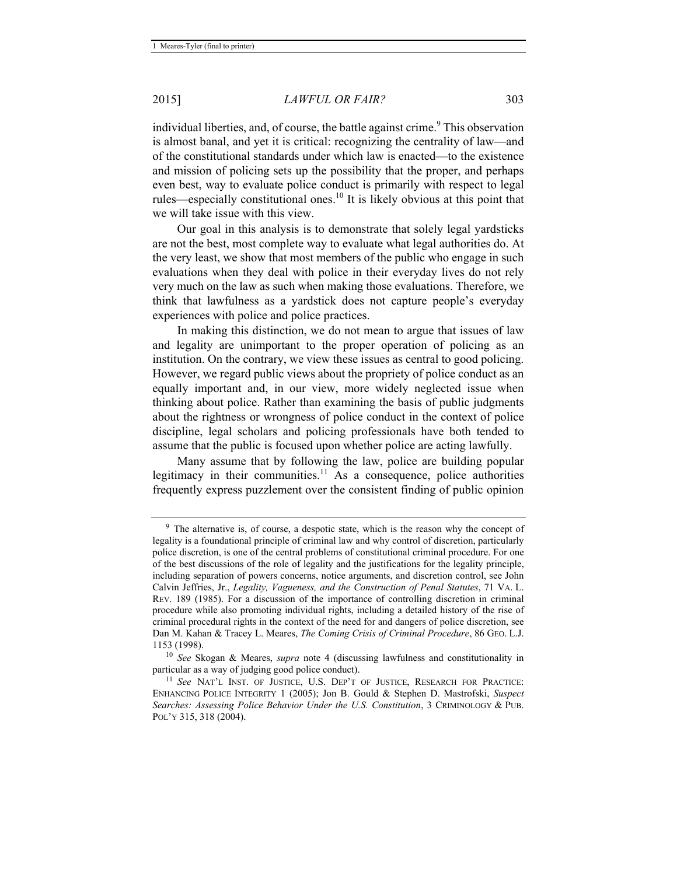individual liberties, and, of course, the battle against crime.<sup>9</sup> This observation is almost banal, and yet it is critical: recognizing the centrality of law—and of the constitutional standards under which law is enacted—to the existence and mission of policing sets up the possibility that the proper, and perhaps even best, way to evaluate police conduct is primarily with respect to legal rules—especially constitutional ones.<sup>10</sup> It is likely obvious at this point that we will take issue with this view.

Our goal in this analysis is to demonstrate that solely legal yardsticks are not the best, most complete way to evaluate what legal authorities do. At the very least, we show that most members of the public who engage in such evaluations when they deal with police in their everyday lives do not rely very much on the law as such when making those evaluations. Therefore, we think that lawfulness as a yardstick does not capture people's everyday experiences with police and police practices.

In making this distinction, we do not mean to argue that issues of law and legality are unimportant to the proper operation of policing as an institution. On the contrary, we view these issues as central to good policing. However, we regard public views about the propriety of police conduct as an equally important and, in our view, more widely neglected issue when thinking about police. Rather than examining the basis of public judgments about the rightness or wrongness of police conduct in the context of police discipline, legal scholars and policing professionals have both tended to assume that the public is focused upon whether police are acting lawfully.

Many assume that by following the law, police are building popular legitimacy in their communities.<sup>11</sup> As a consequence, police authorities frequently express puzzlement over the consistent finding of public opinion

<sup>&</sup>lt;sup>9</sup> The alternative is, of course, a despotic state, which is the reason why the concept of legality is a foundational principle of criminal law and why control of discretion, particularly police discretion, is one of the central problems of constitutional criminal procedure. For one of the best discussions of the role of legality and the justifications for the legality principle, including separation of powers concerns, notice arguments, and discretion control, see John Calvin Jeffries, Jr., *Legality, Vagueness, and the Construction of Penal Statutes*, 71 VA. L. REV. 189 (1985). For a discussion of the importance of controlling discretion in criminal procedure while also promoting individual rights, including a detailed history of the rise of criminal procedural rights in the context of the need for and dangers of police discretion, see Dan M. Kahan & Tracey L. Meares, *The Coming Crisis of Criminal Procedure*, 86 GEO. L.J.

<sup>1153 (1998). 10</sup> *See* Skogan & Meares, *supra* note 4 (discussing lawfulness and constitutionality in

<sup>&</sup>lt;sup>11</sup> See NAT'L INST. OF JUSTICE, U.S. DEP'T OF JUSTICE, RESEARCH FOR PRACTICE: ENHANCING POLICE INTEGRITY 1 (2005); Jon B. Gould & Stephen D. Mastrofski, *Suspect Searches: Assessing Police Behavior Under the U.S. Constitution*, 3 CRIMINOLOGY & PUB. POL'Y 315, 318 (2004).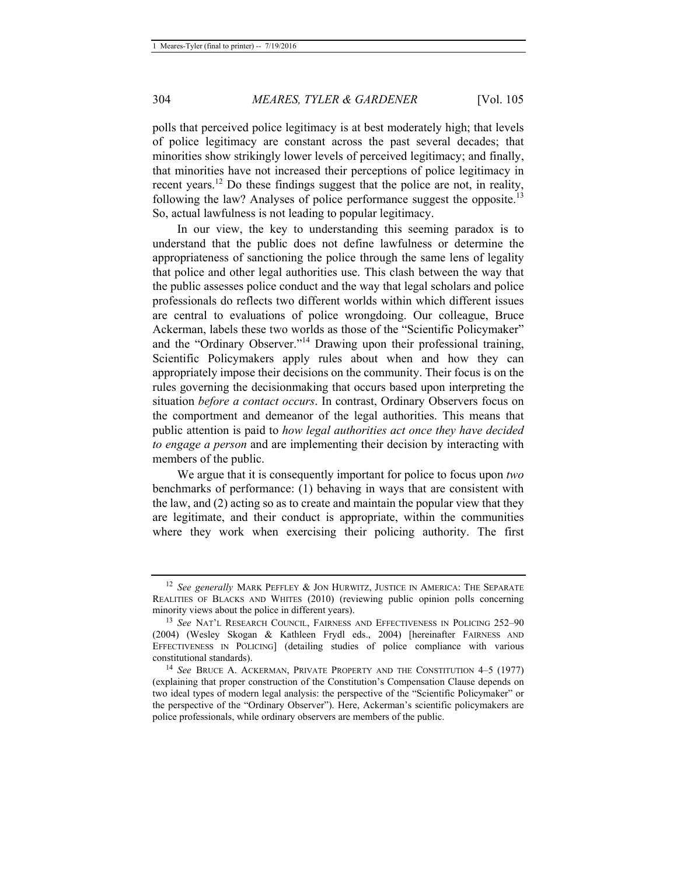polls that perceived police legitimacy is at best moderately high; that levels of police legitimacy are constant across the past several decades; that minorities show strikingly lower levels of perceived legitimacy; and finally, that minorities have not increased their perceptions of police legitimacy in recent years.12 Do these findings suggest that the police are not, in reality, following the law? Analyses of police performance suggest the opposite.<sup>13</sup> So, actual lawfulness is not leading to popular legitimacy.

In our view, the key to understanding this seeming paradox is to understand that the public does not define lawfulness or determine the appropriateness of sanctioning the police through the same lens of legality that police and other legal authorities use. This clash between the way that the public assesses police conduct and the way that legal scholars and police professionals do reflects two different worlds within which different issues are central to evaluations of police wrongdoing. Our colleague, Bruce Ackerman, labels these two worlds as those of the "Scientific Policymaker" and the "Ordinary Observer."14 Drawing upon their professional training, Scientific Policymakers apply rules about when and how they can appropriately impose their decisions on the community. Their focus is on the rules governing the decisionmaking that occurs based upon interpreting the situation *before a contact occurs*. In contrast, Ordinary Observers focus on the comportment and demeanor of the legal authorities. This means that public attention is paid to *how legal authorities act once they have decided to engage a person* and are implementing their decision by interacting with members of the public.

We argue that it is consequently important for police to focus upon *two* benchmarks of performance: (1) behaving in ways that are consistent with the law, and (2) acting so as to create and maintain the popular view that they are legitimate, and their conduct is appropriate, within the communities where they work when exercising their policing authority. The first

<sup>12</sup> *See generally* MARK PEFFLEY & JON HURWITZ, JUSTICE IN AMERICA: THE SEPARATE REALITIES OF BLACKS AND WHITES (2010) (reviewing public opinion polls concerning minority views about the police in different years).<br><sup>13</sup> *See* NAT'L RESEARCH COUNCIL, FAIRNESS AND EFFECTIVENESS IN POLICING 252–90

<sup>(2004) (</sup>Wesley Skogan & Kathleen Frydl eds., 2004) [hereinafter FAIRNESS AND EFFECTIVENESS IN POLICING] (detailing studies of police compliance with various constitutional standards). 14 *See* BRUCE A. ACKERMAN, PRIVATE PROPERTY AND THE CONSTITUTION 4–5 (1977)

<sup>(</sup>explaining that proper construction of the Constitution's Compensation Clause depends on two ideal types of modern legal analysis: the perspective of the "Scientific Policymaker" or the perspective of the "Ordinary Observer"). Here, Ackerman's scientific policymakers are police professionals, while ordinary observers are members of the public.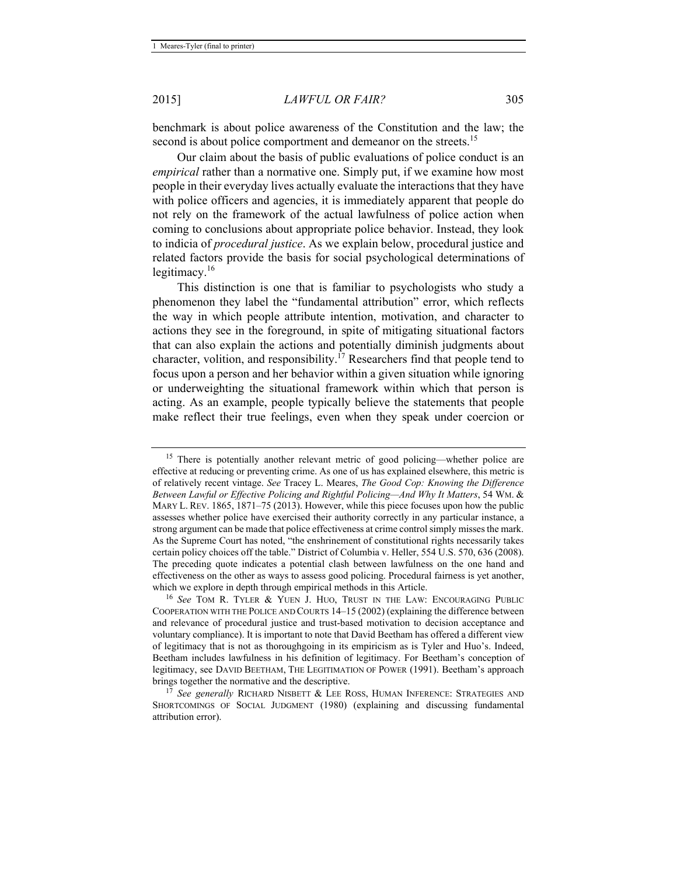benchmark is about police awareness of the Constitution and the law; the second is about police comportment and demeanor on the streets.<sup>15</sup>

Our claim about the basis of public evaluations of police conduct is an *empirical* rather than a normative one. Simply put, if we examine how most people in their everyday lives actually evaluate the interactions that they have with police officers and agencies, it is immediately apparent that people do not rely on the framework of the actual lawfulness of police action when coming to conclusions about appropriate police behavior. Instead, they look to indicia of *procedural justice*. As we explain below, procedural justice and related factors provide the basis for social psychological determinations of legitimacy. $16$ 

This distinction is one that is familiar to psychologists who study a phenomenon they label the "fundamental attribution" error, which reflects the way in which people attribute intention, motivation, and character to actions they see in the foreground, in spite of mitigating situational factors that can also explain the actions and potentially diminish judgments about character, volition, and responsibility.<sup> $17$ </sup> Researchers find that people tend to focus upon a person and her behavior within a given situation while ignoring or underweighting the situational framework within which that person is acting. As an example, people typically believe the statements that people make reflect their true feelings, even when they speak under coercion or

<sup>&</sup>lt;sup>15</sup> There is potentially another relevant metric of good policing—whether police are effective at reducing or preventing crime. As one of us has explained elsewhere, this metric is of relatively recent vintage. *See* Tracey L. Meares, *The Good Cop: Knowing the Difference Between Lawful or Effective Policing and Rightful Policing—And Why It Matters*, 54 WM. & MARY L. REV. 1865, 1871–75 (2013). However, while this piece focuses upon how the public assesses whether police have exercised their authority correctly in any particular instance, a strong argument can be made that police effectiveness at crime control simply misses the mark. As the Supreme Court has noted, "the enshrinement of constitutional rights necessarily takes certain policy choices off the table." District of Columbia v. Heller, 554 U.S. 570, 636 (2008). The preceding quote indicates a potential clash between lawfulness on the one hand and effectiveness on the other as ways to assess good policing. Procedural fairness is yet another, which we explore in depth through empirical methods in this Article.<br><sup>16</sup> *See* TOM R. TYLER & YUEN J. HUO, TRUST IN THE LAW: ENCOURAGING PUBLIC

COOPERATION WITH THE POLICE AND COURTS 14–15 (2002) (explaining the difference between and relevance of procedural justice and trust-based motivation to decision acceptance and voluntary compliance). It is important to note that David Beetham has offered a different view of legitimacy that is not as thoroughgoing in its empiricism as is Tyler and Huo's. Indeed, Beetham includes lawfulness in his definition of legitimacy. For Beetham's conception of legitimacy, see DAVID BEETHAM, THE LEGITIMATION OF POWER (1991). Beetham's approach brings together the normative and the descriptive.<br><sup>17</sup> *See generally* RICHARD NISBETT & LEE ROSS, HUMAN INFERENCE: STRATEGIES AND

SHORTCOMINGS OF SOCIAL JUDGMENT (1980) (explaining and discussing fundamental attribution error).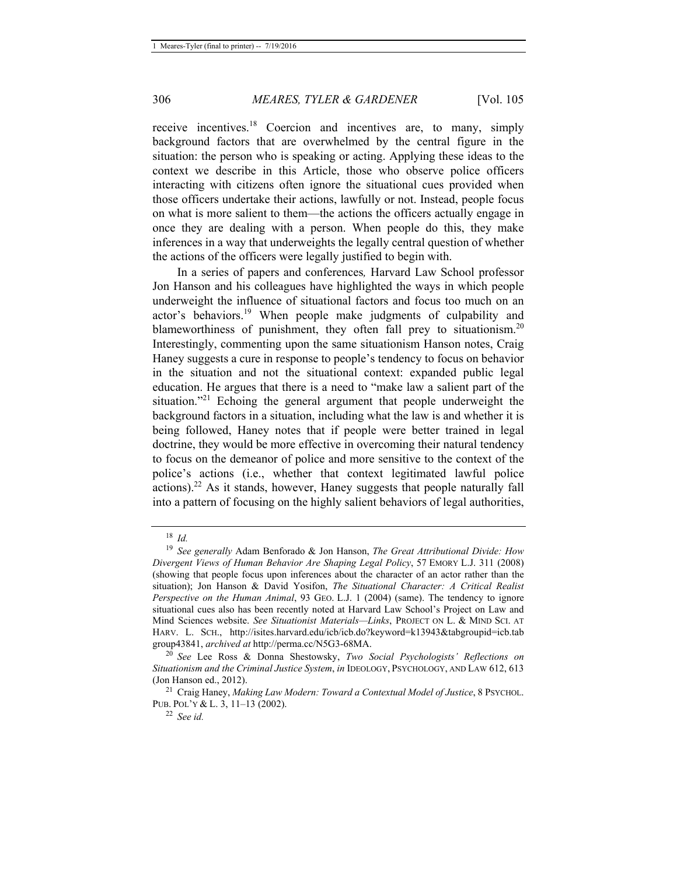receive incentives.18 Coercion and incentives are, to many, simply background factors that are overwhelmed by the central figure in the situation: the person who is speaking or acting. Applying these ideas to the context we describe in this Article, those who observe police officers interacting with citizens often ignore the situational cues provided when those officers undertake their actions, lawfully or not. Instead, people focus on what is more salient to them—the actions the officers actually engage in once they are dealing with a person. When people do this, they make inferences in a way that underweights the legally central question of whether the actions of the officers were legally justified to begin with.

In a series of papers and conferences*,* Harvard Law School professor Jon Hanson and his colleagues have highlighted the ways in which people underweight the influence of situational factors and focus too much on an actor's behaviors.<sup>19</sup> When people make judgments of culpability and blameworthiness of punishment, they often fall prey to situationism.<sup>20</sup> Interestingly, commenting upon the same situationism Hanson notes, Craig Haney suggests a cure in response to people's tendency to focus on behavior in the situation and not the situational context: expanded public legal education. He argues that there is a need to "make law a salient part of the situation.<sup> $21$ </sup> Echoing the general argument that people underweight the background factors in a situation, including what the law is and whether it is being followed, Haney notes that if people were better trained in legal doctrine, they would be more effective in overcoming their natural tendency to focus on the demeanor of police and more sensitive to the context of the police's actions (i.e., whether that context legitimated lawful police actions).<sup>22</sup> As it stands, however, Haney suggests that people naturally fall into a pattern of focusing on the highly salient behaviors of legal authorities,

<sup>18</sup> *Id.*

<sup>19</sup> *See generally* Adam Benforado & Jon Hanson, *The Great Attributional Divide: How Divergent Views of Human Behavior Are Shaping Legal Policy*, 57 EMORY L.J. 311 (2008) (showing that people focus upon inferences about the character of an actor rather than the situation); Jon Hanson & David Yosifon, *The Situational Character: A Critical Realist Perspective on the Human Animal*, 93 GEO. L.J. 1 (2004) (same). The tendency to ignore situational cues also has been recently noted at Harvard Law School's Project on Law and Mind Sciences website. *See Situationist Materials—Links*, PROJECT ON L. & MIND SCI. AT HARV. L. SCH., http://isites.harvard.edu/icb/icb.do?keyword=k13943&tabgroupid=icb.tab group43841, *archived at* http://perma.cc/N5G3-68MA. 20 *See* Lee Ross & Donna Shestowsky, *Two Social Psychologists' Reflections on* 

*Situationism and the Criminal Justice System*, *in* IDEOLOGY, PSYCHOLOGY, AND LAW 612, 613 (Jon Hanson ed., 2012). 21 Craig Haney, *Making Law Modern: Toward a Contextual Model of Justice*, 8 PSYCHOL.

PUB. POL'Y & L. 3, 11–13 (2002). 22 *See id.*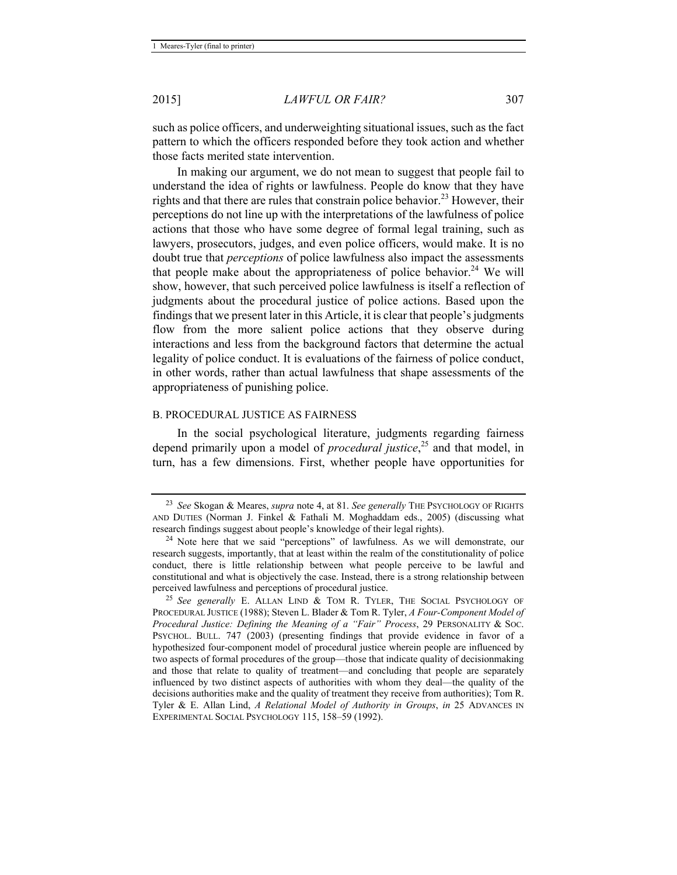such as police officers, and underweighting situational issues, such as the fact pattern to which the officers responded before they took action and whether those facts merited state intervention.

In making our argument, we do not mean to suggest that people fail to understand the idea of rights or lawfulness. People do know that they have rights and that there are rules that constrain police behavior.<sup>23</sup> However, their perceptions do not line up with the interpretations of the lawfulness of police actions that those who have some degree of formal legal training, such as lawyers, prosecutors, judges, and even police officers, would make. It is no doubt true that *perceptions* of police lawfulness also impact the assessments that people make about the appropriateness of police behavior.<sup>24</sup> We will show, however, that such perceived police lawfulness is itself a reflection of judgments about the procedural justice of police actions. Based upon the findings that we present later in this Article, it is clear that people's judgments flow from the more salient police actions that they observe during interactions and less from the background factors that determine the actual legality of police conduct. It is evaluations of the fairness of police conduct, in other words, rather than actual lawfulness that shape assessments of the appropriateness of punishing police.

#### B. PROCEDURAL JUSTICE AS FAIRNESS

In the social psychological literature, judgments regarding fairness depend primarily upon a model of *procedural justice*, 25 and that model, in turn, has a few dimensions. First, whether people have opportunities for

<sup>23</sup> *See* Skogan & Meares, *supra* note 4, at 81. *See generally* THE PSYCHOLOGY OF RIGHTS AND DUTIES (Norman J. Finkel & Fathali M. Moghaddam eds., 2005) (discussing what research findings suggest about people's knowledge of their legal rights). 24 Note here that we said "perceptions" of lawfulness. As we will demonstrate, our

research suggests, importantly, that at least within the realm of the constitutionality of police conduct, there is little relationship between what people perceive to be lawful and constitutional and what is objectively the case. Instead, there is a strong relationship between perceived lawfulness and perceptions of procedural justice. 25 *See generally* E. ALLAN LIND & TOM R. TYLER, THE SOCIAL PSYCHOLOGY OF

PROCEDURAL JUSTICE (1988); Steven L. Blader & Tom R. Tyler, *A Four-Component Model of Procedural Justice: Defining the Meaning of a "Fair" Process*, 29 PERSONALITY & SOC. PSYCHOL. BULL. 747 (2003) (presenting findings that provide evidence in favor of a hypothesized four-component model of procedural justice wherein people are influenced by two aspects of formal procedures of the group—those that indicate quality of decisionmaking and those that relate to quality of treatment—and concluding that people are separately influenced by two distinct aspects of authorities with whom they deal—the quality of the decisions authorities make and the quality of treatment they receive from authorities); Tom R. Tyler & E. Allan Lind, *A Relational Model of Authority in Groups*, *in* 25 ADVANCES IN EXPERIMENTAL SOCIAL PSYCHOLOGY 115, 158–59 (1992).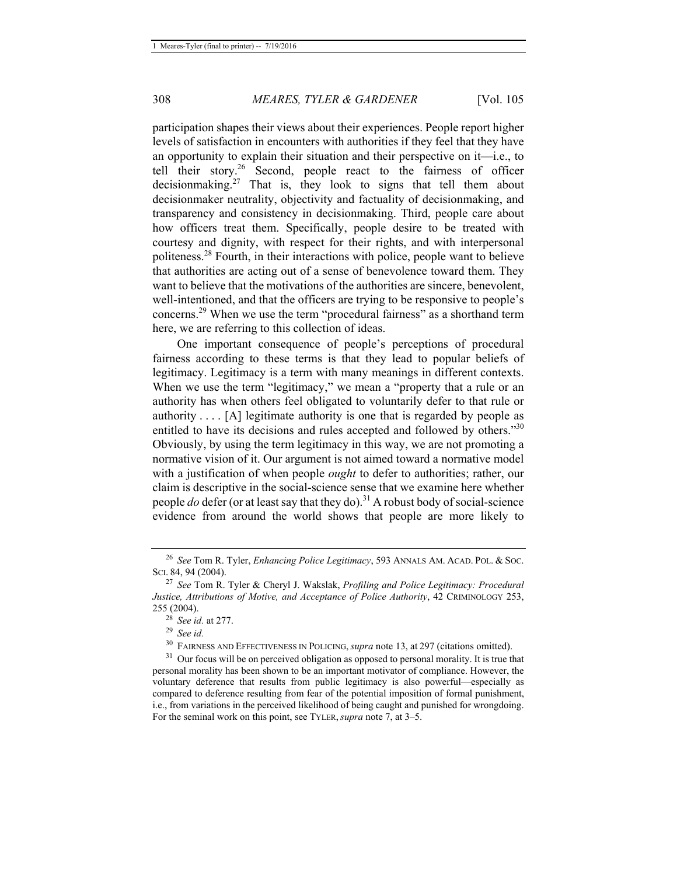participation shapes their views about their experiences. People report higher levels of satisfaction in encounters with authorities if they feel that they have an opportunity to explain their situation and their perspective on it—i.e., to tell their story.26 Second, people react to the fairness of officer decisionmaking.<sup>27</sup> That is, they look to signs that tell them about decisionmaker neutrality, objectivity and factuality of decisionmaking, and transparency and consistency in decisionmaking. Third, people care about how officers treat them. Specifically, people desire to be treated with courtesy and dignity, with respect for their rights, and with interpersonal politeness.28 Fourth, in their interactions with police, people want to believe that authorities are acting out of a sense of benevolence toward them. They want to believe that the motivations of the authorities are sincere, benevolent, well-intentioned, and that the officers are trying to be responsive to people's concerns.29 When we use the term "procedural fairness" as a shorthand term here, we are referring to this collection of ideas.

One important consequence of people's perceptions of procedural fairness according to these terms is that they lead to popular beliefs of legitimacy. Legitimacy is a term with many meanings in different contexts. When we use the term "legitimacy," we mean a "property that a rule or an authority has when others feel obligated to voluntarily defer to that rule or authority . . . . [A] legitimate authority is one that is regarded by people as entitled to have its decisions and rules accepted and followed by others."<sup>30</sup> Obviously, by using the term legitimacy in this way, we are not promoting a normative vision of it. Our argument is not aimed toward a normative model with a justification of when people *ought* to defer to authorities; rather, our claim is descriptive in the social-science sense that we examine here whether people *do* defer (or at least say that they do).<sup>31</sup> A robust body of social-science evidence from around the world shows that people are more likely to

<sup>26</sup> *See* Tom R. Tyler, *Enhancing Police Legitimacy*, 593 ANNALS AM. ACAD. POL. & SOC. SCI. 84, 94 (2004).

<sup>27</sup> *See* Tom R. Tyler & Cheryl J. Wakslak, *Profiling and Police Legitimacy: Procedural Justice, Attributions of Motive, and Acceptance of Police Authority*, 42 CRIMINOLOGY 253, 255 (2004). 28 *See id.* at 277. 29 *See id.*

<sup>&</sup>lt;sup>30</sup> FAIRNESS AND EFFECTIVENESS IN POLICING, *supra* note 13, at 297 (citations omitted).<br><sup>31</sup> Our focus will be on perceived obligation as opposed to personal morality. It is true that

personal morality has been shown to be an important motivator of compliance. However, the voluntary deference that results from public legitimacy is also powerful—especially as compared to deference resulting from fear of the potential imposition of formal punishment, i.e., from variations in the perceived likelihood of being caught and punished for wrongdoing. For the seminal work on this point, see TYLER, *supra* note 7, at 3–5.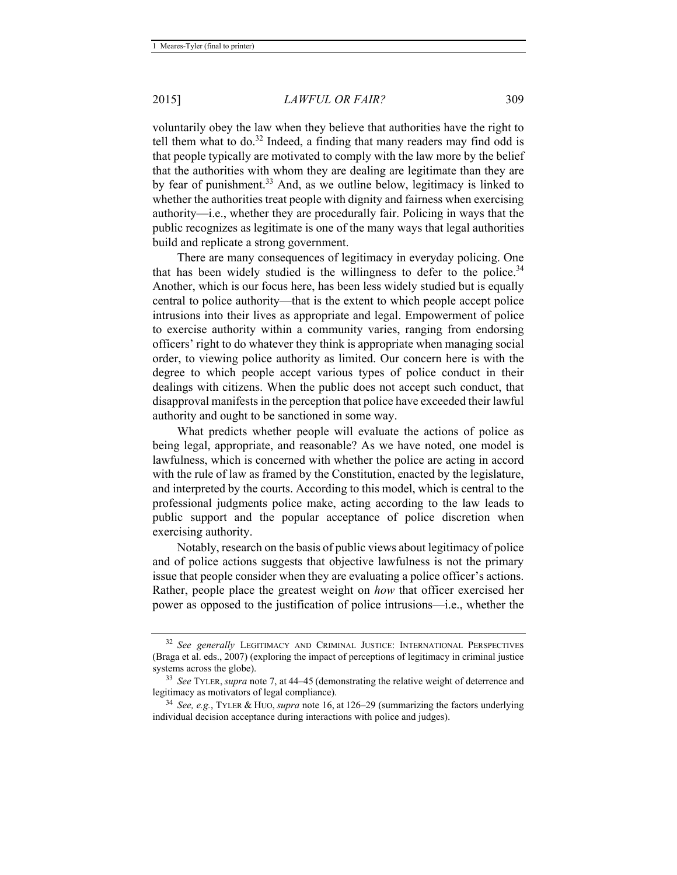voluntarily obey the law when they believe that authorities have the right to tell them what to do.<sup>32</sup> Indeed, a finding that many readers may find odd is that people typically are motivated to comply with the law more by the belief that the authorities with whom they are dealing are legitimate than they are by fear of punishment.<sup>33</sup> And, as we outline below, legitimacy is linked to whether the authorities treat people with dignity and fairness when exercising authority—i.e., whether they are procedurally fair. Policing in ways that the public recognizes as legitimate is one of the many ways that legal authorities build and replicate a strong government.

There are many consequences of legitimacy in everyday policing. One that has been widely studied is the willingness to defer to the police.<sup>34</sup> Another, which is our focus here, has been less widely studied but is equally central to police authority—that is the extent to which people accept police intrusions into their lives as appropriate and legal. Empowerment of police to exercise authority within a community varies, ranging from endorsing officers' right to do whatever they think is appropriate when managing social order, to viewing police authority as limited. Our concern here is with the degree to which people accept various types of police conduct in their dealings with citizens. When the public does not accept such conduct, that disapproval manifests in the perception that police have exceeded their lawful authority and ought to be sanctioned in some way.

What predicts whether people will evaluate the actions of police as being legal, appropriate, and reasonable? As we have noted, one model is lawfulness, which is concerned with whether the police are acting in accord with the rule of law as framed by the Constitution, enacted by the legislature, and interpreted by the courts. According to this model, which is central to the professional judgments police make, acting according to the law leads to public support and the popular acceptance of police discretion when exercising authority.

Notably, research on the basis of public views about legitimacy of police and of police actions suggests that objective lawfulness is not the primary issue that people consider when they are evaluating a police officer's actions. Rather, people place the greatest weight on *how* that officer exercised her power as opposed to the justification of police intrusions—i.e., whether the

<sup>32</sup> *See generally* LEGITIMACY AND CRIMINAL JUSTICE: INTERNATIONAL PERSPECTIVES (Braga et al. eds., 2007) (exploring the impact of perceptions of legitimacy in criminal justice

systems across the globe).<br><sup>33</sup> *See* TYLER, *supra* note 7, at 44–45 (demonstrating the relative weight of deterrence and legitimacy as motivators of legal compliance).

<sup>&</sup>lt;sup>34</sup> *See, e.g.*, TYLER & HUO, *supra* note 16, at 126–29 (summarizing the factors underlying individual decision acceptance during interactions with police and judges).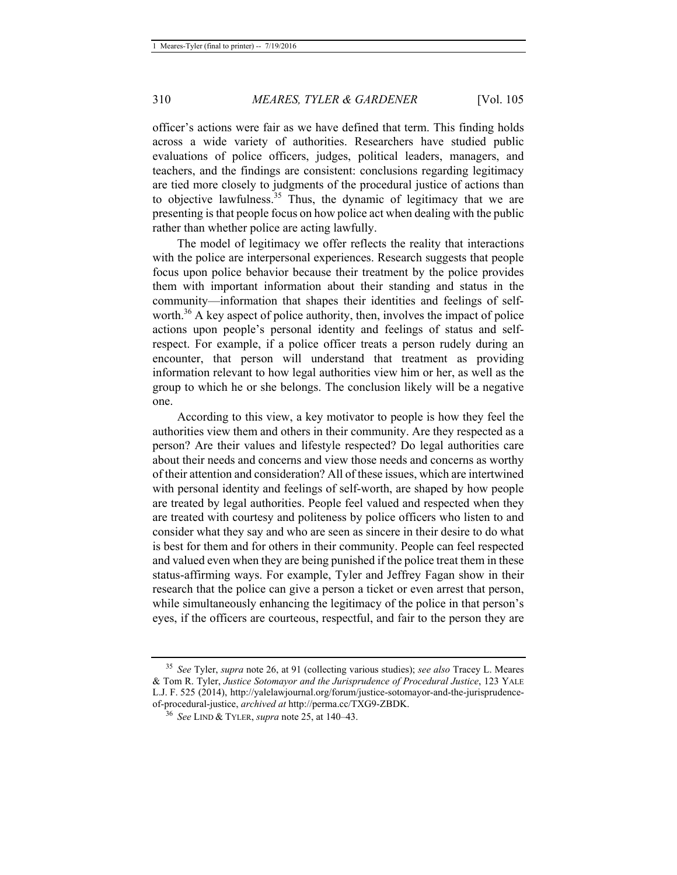officer's actions were fair as we have defined that term. This finding holds across a wide variety of authorities. Researchers have studied public evaluations of police officers, judges, political leaders, managers, and teachers, and the findings are consistent: conclusions regarding legitimacy are tied more closely to judgments of the procedural justice of actions than to objective lawfulness.<sup>35</sup> Thus, the dynamic of legitimacy that we are presenting is that people focus on how police act when dealing with the public rather than whether police are acting lawfully.

The model of legitimacy we offer reflects the reality that interactions with the police are interpersonal experiences. Research suggests that people focus upon police behavior because their treatment by the police provides them with important information about their standing and status in the community—information that shapes their identities and feelings of selfworth.<sup>36</sup> A key aspect of police authority, then, involves the impact of police actions upon people's personal identity and feelings of status and selfrespect. For example, if a police officer treats a person rudely during an encounter, that person will understand that treatment as providing information relevant to how legal authorities view him or her, as well as the group to which he or she belongs. The conclusion likely will be a negative one.

According to this view, a key motivator to people is how they feel the authorities view them and others in their community. Are they respected as a person? Are their values and lifestyle respected? Do legal authorities care about their needs and concerns and view those needs and concerns as worthy of their attention and consideration? All of these issues, which are intertwined with personal identity and feelings of self-worth, are shaped by how people are treated by legal authorities. People feel valued and respected when they are treated with courtesy and politeness by police officers who listen to and consider what they say and who are seen as sincere in their desire to do what is best for them and for others in their community. People can feel respected and valued even when they are being punished if the police treat them in these status-affirming ways. For example, Tyler and Jeffrey Fagan show in their research that the police can give a person a ticket or even arrest that person, while simultaneously enhancing the legitimacy of the police in that person's eyes, if the officers are courteous, respectful, and fair to the person they are

<sup>35</sup> *See* Tyler, *supra* note 26, at 91 (collecting various studies); *see also* Tracey L. Meares & Tom R. Tyler, *Justice Sotomayor and the Jurisprudence of Procedural Justice*, 123 YALE L.J. F. 525 (2014), http://yalelawjournal.org/forum/justice-sotomayor-and-the-jurisprudenceof-procedural-justice, *archived at* http://perma.cc/TXG9-ZBDK. 36 *See* LIND & TYLER, *supra* note 25, at 140–43.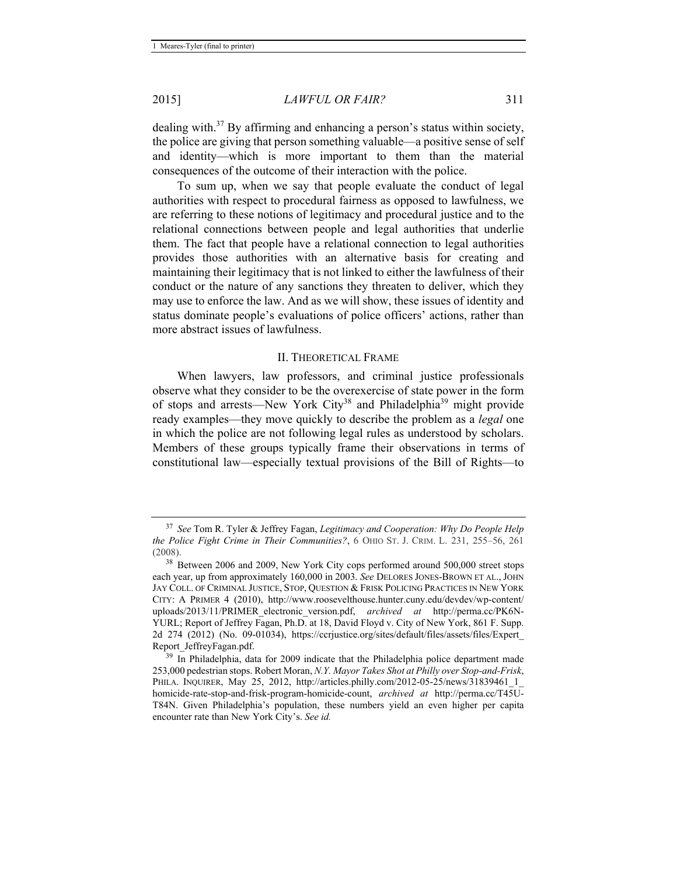dealing with.37 By affirming and enhancing a person's status within society, the police are giving that person something valuable—a positive sense of self and identity—which is more important to them than the material consequences of the outcome of their interaction with the police.

To sum up, when we say that people evaluate the conduct of legal authorities with respect to procedural fairness as opposed to lawfulness, we are referring to these notions of legitimacy and procedural justice and to the relational connections between people and legal authorities that underlie them. The fact that people have a relational connection to legal authorities provides those authorities with an alternative basis for creating and maintaining their legitimacy that is not linked to either the lawfulness of their conduct or the nature of any sanctions they threaten to deliver, which they may use to enforce the law. And as we will show, these issues of identity and status dominate people's evaluations of police officers' actions, rather than more abstract issues of lawfulness.

#### II. THEORETICAL FRAME

When lawyers, law professors, and criminal justice professionals observe what they consider to be the overexercise of state power in the form of stops and arrests—New York City<sup>38</sup> and Philadelphia<sup>39</sup> might provide ready examples—they move quickly to describe the problem as a *legal* one in which the police are not following legal rules as understood by scholars. Members of these groups typically frame their observations in terms of constitutional law—especially textual provisions of the Bill of Rights—to

<sup>37</sup> *See* Tom R. Tyler & Jeffrey Fagan, *Legitimacy and Cooperation: Why Do People Help the Police Fight Crime in Their Communities?*, 6 OHIO ST. J. CRIM. L. 231, 255–56, 261 (2008).

<sup>&</sup>lt;sup>38</sup> Between 2006 and 2009, New York City cops performed around 500,000 street stops each year, up from approximately 160,000 in 2003. *See* DELORES JONES-BROWN ET AL., JOHN JAY COLL. OF CRIMINAL JUSTICE, STOP, QUESTION & FRISK POLICING PRACTICES IN NEW YORK CITY: A PRIMER 4 (2010), http://www.roosevelthouse.hunter.cuny.edu/devdev/wp-content/ uploads/2013/11/PRIMER\_electronic\_version.pdf, *archived at* http://perma.cc/PK6N-YURL; Report of Jeffrey Fagan, Ph.D. at 18, David Floyd v. City of New York, 861 F. Supp. 2d 274 (2012) (No. 09-01034), https://ccrjustice.org/sites/default/files/assets/files/Expert\_ Report\_JeffreyFagan.pdf. 39 In Philadelphia, data for 2009 indicate that the Philadelphia police department made

<sup>253,000</sup> pedestrian stops. Robert Moran, *N.Y. Mayor Takes Shot at Philly over Stop-and-Frisk*, PHILA. INQUIRER, May 25, 2012, http://articles.philly.com/2012-05-25/news/31839461\_1 homicide-rate-stop-and-frisk-program-homicide-count, *archived at* http://perma.cc/T45U-T84N. Given Philadelphia's population, these numbers yield an even higher per capita encounter rate than New York City's. *See id.*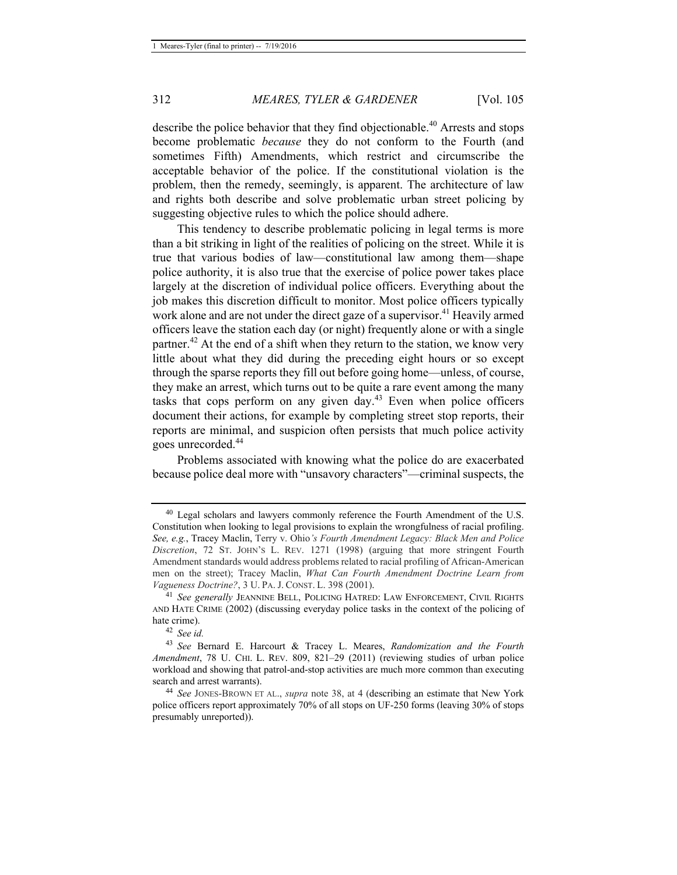describe the police behavior that they find objectionable.40 Arrests and stops become problematic *because* they do not conform to the Fourth (and sometimes Fifth) Amendments, which restrict and circumscribe the acceptable behavior of the police. If the constitutional violation is the problem, then the remedy, seemingly, is apparent. The architecture of law and rights both describe and solve problematic urban street policing by suggesting objective rules to which the police should adhere.

This tendency to describe problematic policing in legal terms is more than a bit striking in light of the realities of policing on the street. While it is true that various bodies of law—constitutional law among them—shape police authority, it is also true that the exercise of police power takes place largely at the discretion of individual police officers. Everything about the job makes this discretion difficult to monitor. Most police officers typically work alone and are not under the direct gaze of a supervisor.<sup>41</sup> Heavily armed officers leave the station each day (or night) frequently alone or with a single partner.<sup>42</sup> At the end of a shift when they return to the station, we know very little about what they did during the preceding eight hours or so except through the sparse reports they fill out before going home—unless, of course, they make an arrest, which turns out to be quite a rare event among the many tasks that cops perform on any given  $day<sup>43</sup>$ . Even when police officers document their actions, for example by completing street stop reports, their reports are minimal, and suspicion often persists that much police activity goes unrecorded.<sup>44</sup>

Problems associated with knowing what the police do are exacerbated because police deal more with "unsavory characters"—criminal suspects, the

<sup>&</sup>lt;sup>40</sup> Legal scholars and lawyers commonly reference the Fourth Amendment of the U.S. Constitution when looking to legal provisions to explain the wrongfulness of racial profiling. *See, e.g.*, Tracey Maclin, Terry v. Ohio*'s Fourth Amendment Legacy: Black Men and Police Discretion*, 72 ST. JOHN'S L. REV. 1271 (1998) (arguing that more stringent Fourth Amendment standards would address problems related to racial profiling of African-American men on the street); Tracey Maclin, *What Can Fourth Amendment Doctrine Learn from* 

<sup>&</sup>lt;sup>41</sup> See generally JEANNINE BELL, POLICING HATRED: LAW ENFORCEMENT, CIVIL RIGHTS AND HATE CRIME (2002) (discussing everyday police tasks in the context of the policing of hate crime). 42 *See id.*

<sup>43</sup> *See* Bernard E. Harcourt & Tracey L. Meares, *Randomization and the Fourth Amendment*, 78 U. CHI. L. REV. 809, 821–29 (2011) (reviewing studies of urban police workload and showing that patrol-and-stop activities are much more common than executing search and arrest warrants).<br><sup>44</sup> *See* JONES-BROWN ET AL., *supra* note 38, at 4 (describing an estimate that New York

police officers report approximately 70% of all stops on UF-250 forms (leaving 30% of stops presumably unreported)).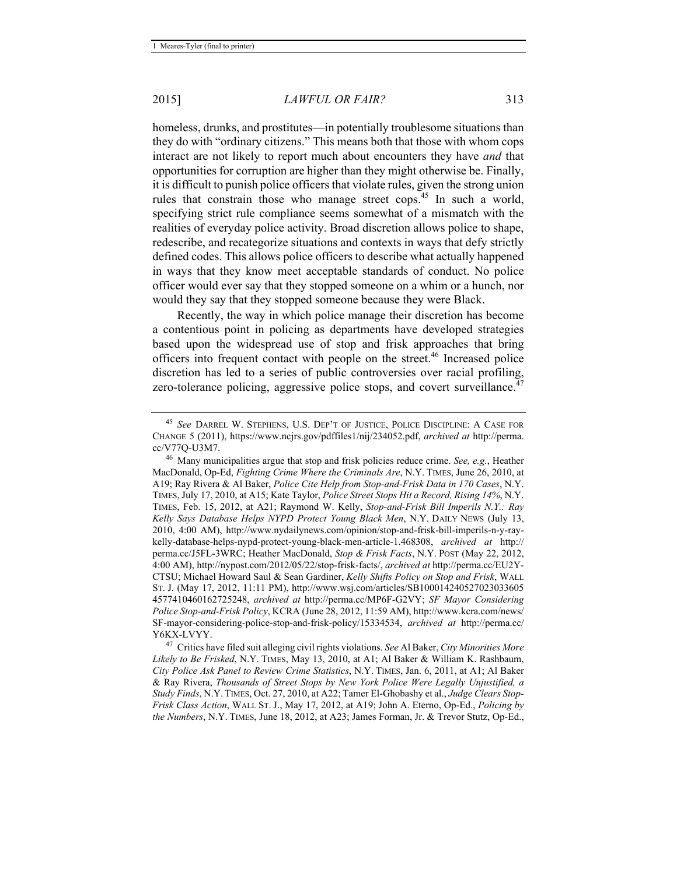homeless, drunks, and prostitutes—in potentially troublesome situations than they do with "ordinary citizens." This means both that those with whom cops interact are not likely to report much about encounters they have *and* that opportunities for corruption are higher than they might otherwise be. Finally, it is difficult to punish police officers that violate rules, given the strong union rules that constrain those who manage street cops.<sup>45</sup> In such a world, specifying strict rule compliance seems somewhat of a mismatch with the realities of everyday police activity. Broad discretion allows police to shape, redescribe, and recategorize situations and contexts in ways that defy strictly defined codes. This allows police officers to describe what actually happened in ways that they know meet acceptable standards of conduct. No police officer would ever say that they stopped someone on a whim or a hunch, nor would they say that they stopped someone because they were Black.

Recently, the way in which police manage their discretion has become a contentious point in policing as departments have developed strategies based upon the widespread use of stop and frisk approaches that bring officers into frequent contact with people on the street.<sup>46</sup> Increased police discretion has led to a series of public controversies over racial profiling, zero-tolerance policing, aggressive police stops, and covert surveillance.<sup>47</sup>

<sup>45</sup> *See* DARREL W. STEPHENS, U.S. DEP'T OF JUSTICE, POLICE DISCIPLINE: A CASE FOR CHANGE 5 (2011), https://www.ncjrs.gov/pdffiles1/nij/234052.pdf, *archived at* http://perma.

cc/V77Q-U3M7. 46 Many municipalities argue that stop and frisk policies reduce crime. *See, e.g.*, Heather MacDonald, Op-Ed, *Fighting Crime Where the Criminals Are*, N.Y. TIMES, June 26, 2010, at A19; Ray Rivera & Al Baker, *Police Cite Help from Stop-and-Frisk Data in 170 Cases*, N.Y. TIMES, July 17, 2010, at A15; Kate Taylor, *Police Street Stops Hit a Record, Rising 14%*, N.Y. TIMES, Feb. 15, 2012, at A21; Raymond W. Kelly, *Stop-and-Frisk Bill Imperils N.Y.: Ray Kelly Says Database Helps NYPD Protect Young Black Men*, N.Y. DAILY NEWS (July 13, 2010, 4:00 AM), http://www.nydailynews.com/opinion/stop-and-frisk-bill-imperils-n-y-raykelly-database-helps-nypd-protect-young-black-men-article-1.468308, *archived at* http:// perma.cc/J5FL-3WRC; Heather MacDonald, *Stop & Frisk Facts*, N.Y. POST (May 22, 2012, 4:00 AM), http://nypost.com/2012/05/22/stop-frisk-facts/, *archived at* http://perma.cc/EU2Y-CTSU; Michael Howard Saul & Sean Gardiner, *Kelly Shifts Policy on Stop and Frisk*, WALL ST. J. (May 17, 2012, 11:11 PM), http://www.wsj.com/articles/SB100014240527023033605 4577410460162725248, *archived at* http://perma.cc/MP6F-G2VY; *SF Mayor Considering Police Stop-and-Frisk Policy*, KCRA (June 28, 2012, 11:59 AM), http://www.kcra.com/news/ SF-mayor-considering-police-stop-and-frisk-policy/15334534, *archived at* http://perma.cc/

<sup>&</sup>lt;sup>47</sup> Critics have filed suit alleging civil rights violations. See Al Baker, *City Minorities More Likely to Be Frisked*, N.Y. TIMES, May 13, 2010, at A1; Al Baker & William K. Rashbaum, *City Police Ask Panel to Review Crime Statistics*, N.Y. TIMES, Jan. 6, 2011, at A1; Al Baker & Ray Rivera, *Thousands of Street Stops by New York Police Were Legally Unjustified, a Study Finds*, N.Y. TIMES, Oct. 27, 2010, at A22; Tamer El-Ghobashy et al., *Judge Clears Stop-Frisk Class Action*, WALL ST. J., May 17, 2012, at A19; John A. Eterno, Op-Ed., *Policing by the Numbers*, N.Y. TIMES, June 18, 2012, at A23; James Forman, Jr. & Trevor Stutz, Op-Ed.,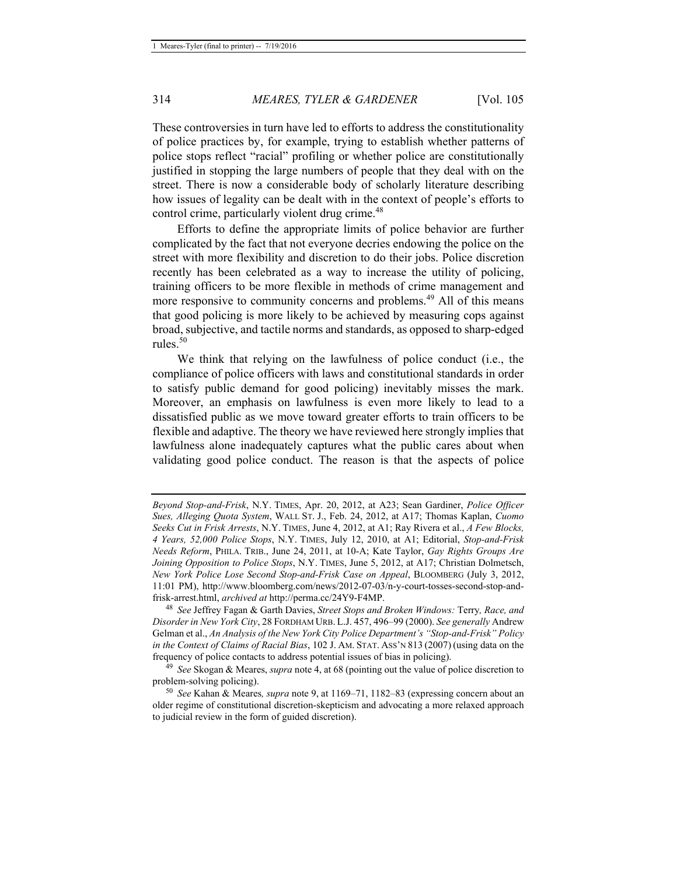These controversies in turn have led to efforts to address the constitutionality of police practices by, for example, trying to establish whether patterns of police stops reflect "racial" profiling or whether police are constitutionally justified in stopping the large numbers of people that they deal with on the street. There is now a considerable body of scholarly literature describing how issues of legality can be dealt with in the context of people's efforts to control crime, particularly violent drug crime.<sup>48</sup>

Efforts to define the appropriate limits of police behavior are further complicated by the fact that not everyone decries endowing the police on the street with more flexibility and discretion to do their jobs. Police discretion recently has been celebrated as a way to increase the utility of policing, training officers to be more flexible in methods of crime management and more responsive to community concerns and problems.<sup>49</sup> All of this means that good policing is more likely to be achieved by measuring cops against broad, subjective, and tactile norms and standards, as opposed to sharp-edged rules.<sup>50</sup>

We think that relying on the lawfulness of police conduct (i.e., the compliance of police officers with laws and constitutional standards in order to satisfy public demand for good policing) inevitably misses the mark. Moreover, an emphasis on lawfulness is even more likely to lead to a dissatisfied public as we move toward greater efforts to train officers to be flexible and adaptive. The theory we have reviewed here strongly implies that lawfulness alone inadequately captures what the public cares about when validating good police conduct. The reason is that the aspects of police

*Beyond Stop-and-Frisk*, N.Y. TIMES, Apr. 20, 2012, at A23; Sean Gardiner, *Police Officer Sues, Alleging Quota System*, WALL ST. J., Feb. 24, 2012, at A17; Thomas Kaplan, *Cuomo Seeks Cut in Frisk Arrests*, N.Y. TIMES, June 4, 2012, at A1; Ray Rivera et al., *A Few Blocks, 4 Years, 52,000 Police Stops*, N.Y. TIMES, July 12, 2010, at A1; Editorial, *Stop-and-Frisk Needs Reform*, PHILA. TRIB., June 24, 2011, at 10-A; Kate Taylor, *Gay Rights Groups Are Joining Opposition to Police Stops*, N.Y. TIMES, June 5, 2012, at A17; Christian Dolmetsch, *New York Police Lose Second Stop-and-Frisk Case on Appeal*, BLOOMBERG (July 3, 2012, 11:01 PM), http://www.bloomberg.com/news/2012-07-03/n-y-court-tosses-second-stop-andfrisk-arrest.html, *archived at* http://perma.cc/24Y9-F4MP. 48 *See* Jeffrey Fagan & Garth Davies, *Street Stops and Broken Windows:* Terry*, Race, and* 

*Disorder in New York City*, 28 FORDHAM URB. L.J. 457, 496–99 (2000). *See generally* Andrew Gelman et al., *An Analysis of the New York City Police Department's "Stop-and-Frisk" Policy in the Context of Claims of Racial Bias*, 102 J. AM. STAT. ASS'N 813 (2007) (using data on the frequency of police contacts to address potential issues of bias in policing).

<sup>49</sup> *See* Skogan & Meares, *supra* note 4, at 68 (pointing out the value of police discretion to

<sup>&</sup>lt;sup>50</sup> *See* Kahan & Meares, *supra* note 9, at 1169–71, 1182–83 (expressing concern about an older regime of constitutional discretion-skepticism and advocating a more relaxed approach to judicial review in the form of guided discretion).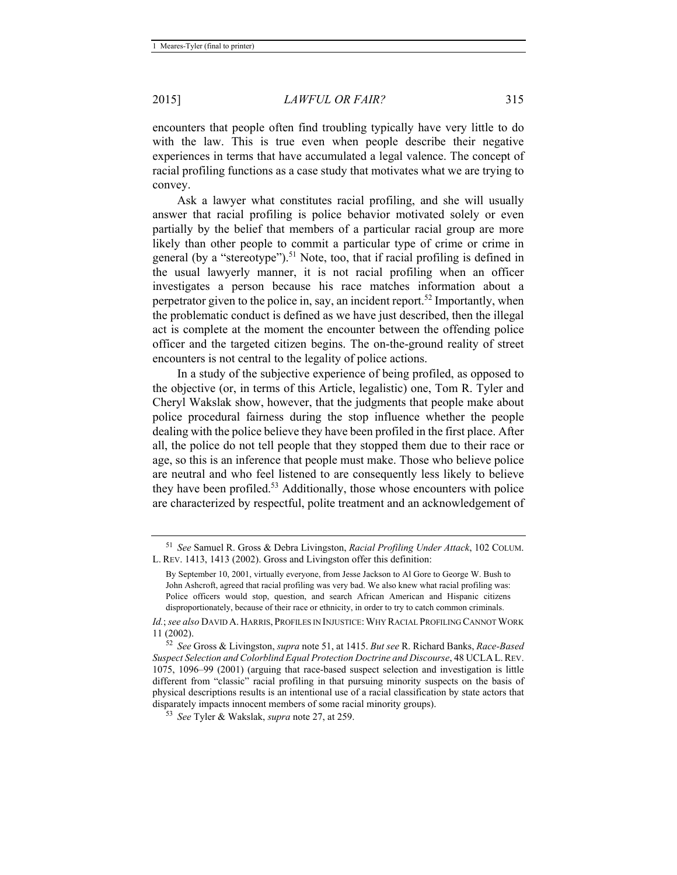encounters that people often find troubling typically have very little to do with the law. This is true even when people describe their negative experiences in terms that have accumulated a legal valence. The concept of racial profiling functions as a case study that motivates what we are trying to convey.

Ask a lawyer what constitutes racial profiling, and she will usually answer that racial profiling is police behavior motivated solely or even partially by the belief that members of a particular racial group are more likely than other people to commit a particular type of crime or crime in general (by a "stereotype").<sup>51</sup> Note, too, that if racial profiling is defined in the usual lawyerly manner, it is not racial profiling when an officer investigates a person because his race matches information about a perpetrator given to the police in, say, an incident report.<sup>52</sup> Importantly, when the problematic conduct is defined as we have just described, then the illegal act is complete at the moment the encounter between the offending police officer and the targeted citizen begins. The on-the-ground reality of street encounters is not central to the legality of police actions.

In a study of the subjective experience of being profiled, as opposed to the objective (or, in terms of this Article, legalistic) one, Tom R. Tyler and Cheryl Wakslak show, however, that the judgments that people make about police procedural fairness during the stop influence whether the people dealing with the police believe they have been profiled in the first place. After all, the police do not tell people that they stopped them due to their race or age, so this is an inference that people must make. Those who believe police are neutral and who feel listened to are consequently less likely to believe they have been profiled.<sup>53</sup> Additionally, those whose encounters with police are characterized by respectful, polite treatment and an acknowledgement of

<sup>51</sup> *See* Samuel R. Gross & Debra Livingston, *Racial Profiling Under Attack*, 102 COLUM. L. REV. 1413, 1413 (2002). Gross and Livingston offer this definition:

By September 10, 2001, virtually everyone, from Jesse Jackson to Al Gore to George W. Bush to John Ashcroft, agreed that racial profiling was very bad. We also knew what racial profiling was: Police officers would stop, question, and search African American and Hispanic citizens disproportionately, because of their race or ethnicity, in order to try to catch common criminals.

*Id.*; *see also* DAVID A. HARRIS, PROFILES IN INJUSTICE:WHY RACIAL PROFILING CANNOT WORK 11 (2002). 52 *See* Gross & Livingston, *supra* note 51, at 1415. *But see* R. Richard Banks, *Race-Based* 

*Suspect Selection and Colorblind Equal Protection Doctrine and Discourse*, 48 UCLAL.REV. 1075, 1096–99 (2001) (arguing that race-based suspect selection and investigation is little different from "classic" racial profiling in that pursuing minority suspects on the basis of physical descriptions results is an intentional use of a racial classification by state actors that disparately impacts innocent members of some racial minority groups). 53 *See* Tyler & Wakslak, *supra* note 27, at 259.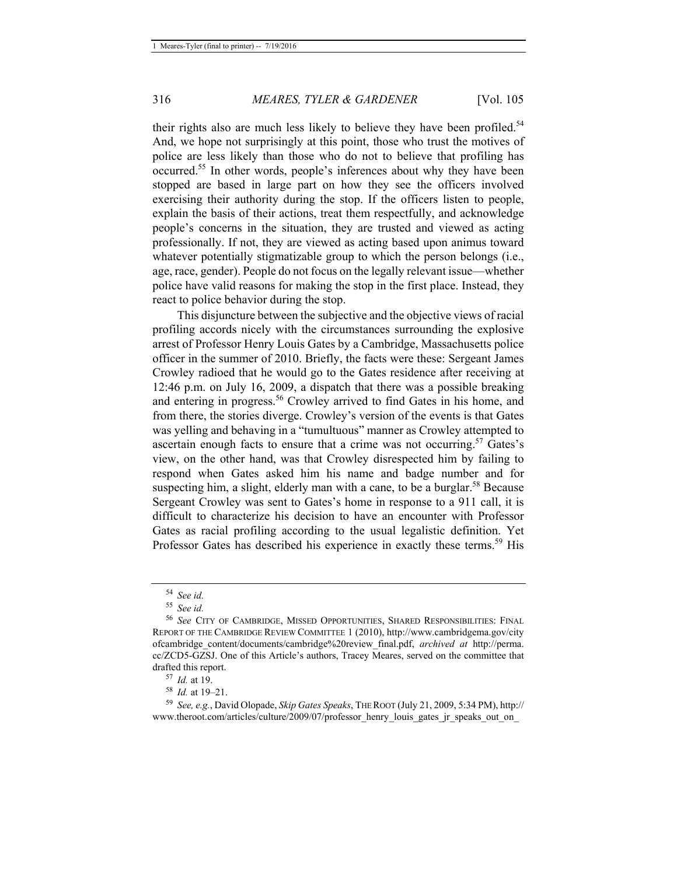their rights also are much less likely to believe they have been profiled.<sup>54</sup> And, we hope not surprisingly at this point, those who trust the motives of police are less likely than those who do not to believe that profiling has occurred.55 In other words, people's inferences about why they have been stopped are based in large part on how they see the officers involved exercising their authority during the stop. If the officers listen to people, explain the basis of their actions, treat them respectfully, and acknowledge people's concerns in the situation, they are trusted and viewed as acting professionally. If not, they are viewed as acting based upon animus toward whatever potentially stigmatizable group to which the person belongs (i.e., age, race, gender). People do not focus on the legally relevant issue—whether police have valid reasons for making the stop in the first place. Instead, they react to police behavior during the stop.

This disjuncture between the subjective and the objective views of racial profiling accords nicely with the circumstances surrounding the explosive arrest of Professor Henry Louis Gates by a Cambridge, Massachusetts police officer in the summer of 2010. Briefly, the facts were these: Sergeant James Crowley radioed that he would go to the Gates residence after receiving at 12:46 p.m. on July 16, 2009, a dispatch that there was a possible breaking and entering in progress.<sup>56</sup> Crowley arrived to find Gates in his home, and from there, the stories diverge. Crowley's version of the events is that Gates was yelling and behaving in a "tumultuous" manner as Crowley attempted to ascertain enough facts to ensure that a crime was not occurring.<sup>57</sup> Gates's view, on the other hand, was that Crowley disrespected him by failing to respond when Gates asked him his name and badge number and for suspecting him, a slight, elderly man with a cane, to be a burglar.<sup>58</sup> Because Sergeant Crowley was sent to Gates's home in response to a 911 call, it is difficult to characterize his decision to have an encounter with Professor Gates as racial profiling according to the usual legalistic definition. Yet Professor Gates has described his experience in exactly these terms.<sup>59</sup> His

<sup>54</sup> *See id.*

<sup>55</sup> *See id.*

<sup>56</sup> *See* CITY OF CAMBRIDGE, MISSED OPPORTUNITIES, SHARED RESPONSIBILITIES: FINAL REPORT OF THE CAMBRIDGE REVIEW COMMITTEE 1 (2010), http://www.cambridgema.gov/city ofcambridge\_content/documents/cambridge%20review\_final.pdf, *archived at* http://perma. cc/ZCD5-GZSJ. One of this Article's authors, Tracey Meares, served on the committee that drafted this report.<br><sup>57</sup> *Id.* at 19.<br><sup>58</sup> *Id.* at 19–21.<br><sup>59</sup> *See, e.g.*, David Olopade, *Skip Gates Speaks*, THE ROOT (July 21, 2009, 5:34 PM), http://

www.theroot.com/articles/culture/2009/07/professor\_henry\_louis\_gates\_jr\_speaks\_out\_on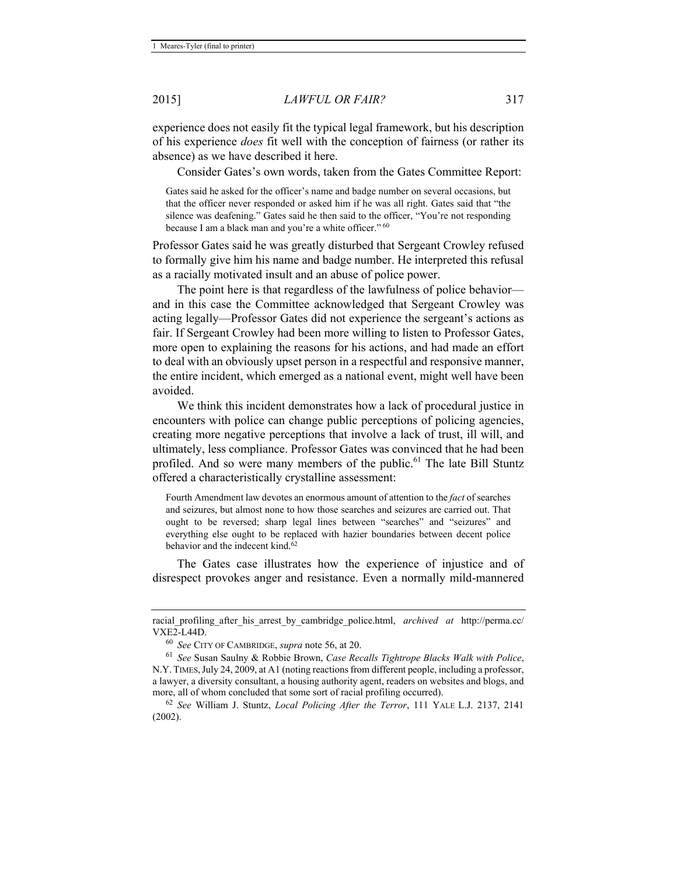experience does not easily fit the typical legal framework, but his description of his experience *does* fit well with the conception of fairness (or rather its absence) as we have described it here.

Consider Gates's own words, taken from the Gates Committee Report:

Gates said he asked for the officer's name and badge number on several occasions, but that the officer never responded or asked him if he was all right. Gates said that "the silence was deafening." Gates said he then said to the officer, "You're not responding because I am a black man and you're a white officer." 60

Professor Gates said he was greatly disturbed that Sergeant Crowley refused to formally give him his name and badge number. He interpreted this refusal as a racially motivated insult and an abuse of police power.

The point here is that regardless of the lawfulness of police behavior and in this case the Committee acknowledged that Sergeant Crowley was acting legally—Professor Gates did not experience the sergeant's actions as fair. If Sergeant Crowley had been more willing to listen to Professor Gates, more open to explaining the reasons for his actions, and had made an effort to deal with an obviously upset person in a respectful and responsive manner, the entire incident, which emerged as a national event, might well have been avoided.

We think this incident demonstrates how a lack of procedural justice in encounters with police can change public perceptions of policing agencies, creating more negative perceptions that involve a lack of trust, ill will, and ultimately, less compliance. Professor Gates was convinced that he had been profiled. And so were many members of the public.<sup>61</sup> The late Bill Stuntz offered a characteristically crystalline assessment:

Fourth Amendment law devotes an enormous amount of attention to the *fact* of searches and seizures, but almost none to how those searches and seizures are carried out. That ought to be reversed; sharp legal lines between "searches" and "seizures" and everything else ought to be replaced with hazier boundaries between decent police behavior and the indecent kind.<sup>62</sup>

The Gates case illustrates how the experience of injustice and of disrespect provokes anger and resistance. Even a normally mild-mannered

racial profiling after his arrest by cambridge police.html, *archived at http://perma.cc/* VXE2-L44D. 60 *See* CITY OF CAMBRIDGE, *supra* note 56, at 20. 61 *See* Susan Saulny & Robbie Brown, *Case Recalls Tightrope Blacks Walk with Police*,

N.Y.TIMES,July 24, 2009, at A1 (noting reactions from different people, including a professor, a lawyer, a diversity consultant, a housing authority agent, readers on websites and blogs, and more, all of whom concluded that some sort of racial profiling occurred). 62 *See* William J. Stuntz, *Local Policing After the Terror*, 111 YALE L.J. 2137, 2141

<sup>(2002).</sup>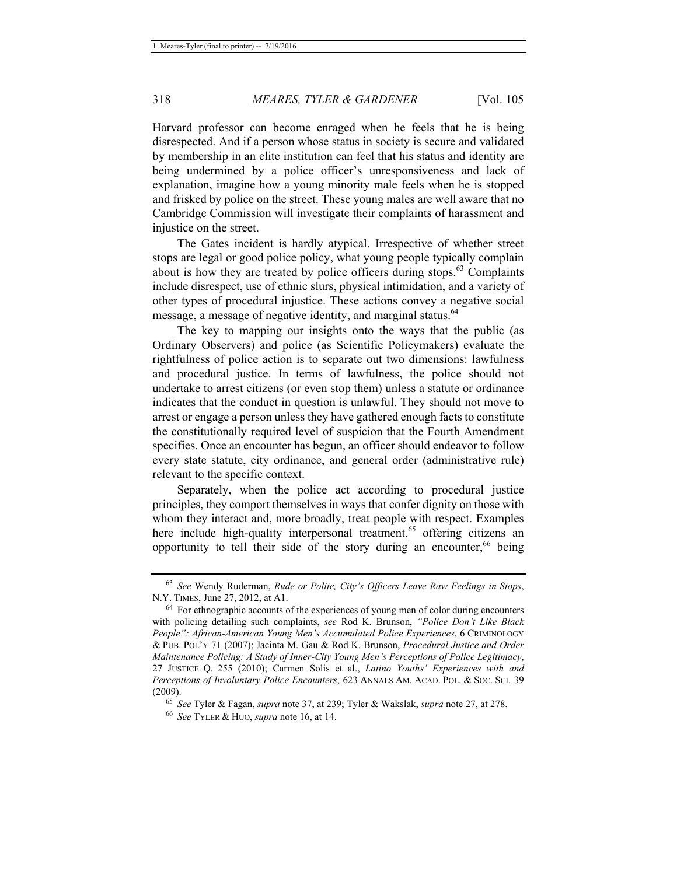Harvard professor can become enraged when he feels that he is being disrespected. And if a person whose status in society is secure and validated by membership in an elite institution can feel that his status and identity are being undermined by a police officer's unresponsiveness and lack of explanation, imagine how a young minority male feels when he is stopped and frisked by police on the street. These young males are well aware that no Cambridge Commission will investigate their complaints of harassment and injustice on the street.

The Gates incident is hardly atypical. Irrespective of whether street stops are legal or good police policy, what young people typically complain about is how they are treated by police officers during stops.<sup>63</sup> Complaints include disrespect, use of ethnic slurs, physical intimidation, and a variety of other types of procedural injustice. These actions convey a negative social message, a message of negative identity, and marginal status.<sup>64</sup>

The key to mapping our insights onto the ways that the public (as Ordinary Observers) and police (as Scientific Policymakers) evaluate the rightfulness of police action is to separate out two dimensions: lawfulness and procedural justice. In terms of lawfulness, the police should not undertake to arrest citizens (or even stop them) unless a statute or ordinance indicates that the conduct in question is unlawful. They should not move to arrest or engage a person unless they have gathered enough facts to constitute the constitutionally required level of suspicion that the Fourth Amendment specifies. Once an encounter has begun, an officer should endeavor to follow every state statute, city ordinance, and general order (administrative rule) relevant to the specific context.

Separately, when the police act according to procedural justice principles, they comport themselves in ways that confer dignity on those with whom they interact and, more broadly, treat people with respect. Examples here include high-quality interpersonal treatment,<sup>65</sup> offering citizens an opportunity to tell their side of the story during an encounter,  $66$  being

<sup>63</sup> *See* Wendy Ruderman, *Rude or Polite, City's Officers Leave Raw Feelings in Stops*, N.Y. TIMES, June 27, 2012, at A1.<br><sup>64</sup> For ethnographic accounts of the experiences of young men of color during encounters

with policing detailing such complaints, *see* Rod K. Brunson, *"Police Don't Like Black People": African-American Young Men's Accumulated Police Experiences*, 6 CRIMINOLOGY & PUB. POL'Y 71 (2007); Jacinta M. Gau & Rod K. Brunson, *Procedural Justice and Order Maintenance Policing: A Study of Inner-City Young Men's Perceptions of Police Legitimacy*, 27 JUSTICE Q. 255 (2010); Carmen Solis et al., *Latino Youths' Experiences with and Perceptions of Involuntary Police Encounters*, 623 ANNALS AM. ACAD. POL. & SOC. SCI. 39 (2009). 65 *See* Tyler & Fagan, *supra* note 37, at 239; Tyler & Wakslak, *supra* note 27, at 278. 66 *See* TYLER & HUO, *supra* note 16, at 14.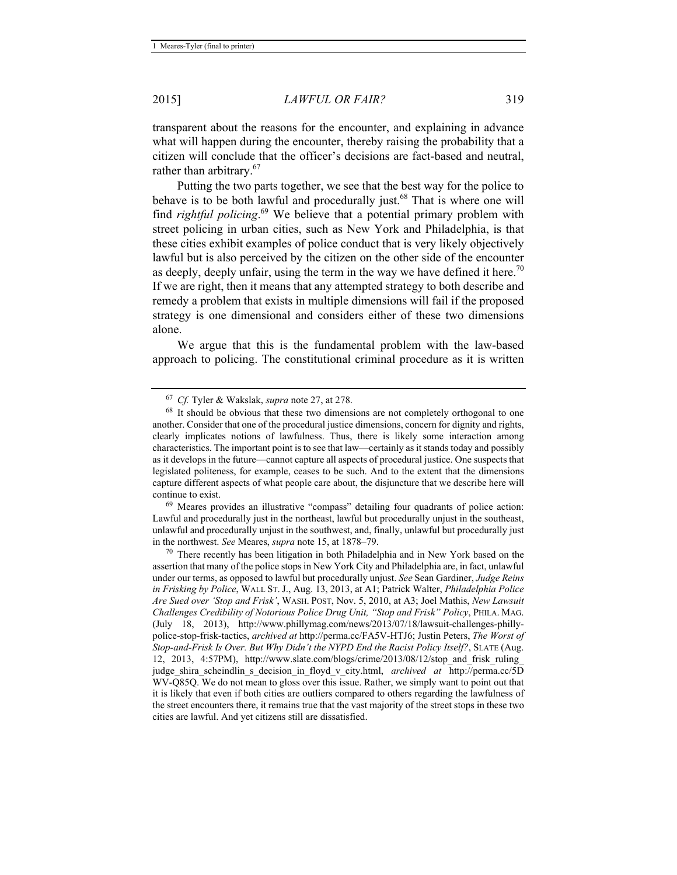transparent about the reasons for the encounter, and explaining in advance what will happen during the encounter, thereby raising the probability that a citizen will conclude that the officer's decisions are fact-based and neutral, rather than arbitrary.<sup>67</sup>

Putting the two parts together, we see that the best way for the police to behave is to be both lawful and procedurally just.<sup>68</sup> That is where one will find *rightful policing*. 69 We believe that a potential primary problem with street policing in urban cities, such as New York and Philadelphia, is that these cities exhibit examples of police conduct that is very likely objectively lawful but is also perceived by the citizen on the other side of the encounter as deeply, deeply unfair, using the term in the way we have defined it here.<sup>70</sup> If we are right, then it means that any attempted strategy to both describe and remedy a problem that exists in multiple dimensions will fail if the proposed strategy is one dimensional and considers either of these two dimensions alone.

We argue that this is the fundamental problem with the law-based approach to policing. The constitutional criminal procedure as it is written

Lawful and procedurally just in the northeast, lawful but procedurally unjust in the southeast, unlawful and procedurally unjust in the southwest, and, finally, unlawful but procedurally just in the northwest. *See* Meares, *supra* note 15, at 1878–79.<br><sup>70</sup> There recently has been litigation in both Philadelphia and in New York based on the

assertion that many of the police stops in New York City and Philadelphia are, in fact, unlawful under our terms, as opposed to lawful but procedurally unjust. *See* Sean Gardiner, *Judge Reins in Frisking by Police*, WALL ST. J., Aug. 13, 2013, at A1; Patrick Walter, *Philadelphia Police Are Sued over 'Stop and Frisk'*, WASH. POST, Nov. 5, 2010, at A3; Joel Mathis, *New Lawsuit Challenges Credibility of Notorious Police Drug Unit, "Stop and Frisk" Policy*, PHILA. MAG. (July 18, 2013), http://www.phillymag.com/news/2013/07/18/lawsuit-challenges-phillypolice-stop-frisk-tactics, *archived at* http://perma.cc/FA5V-HTJ6; Justin Peters, *The Worst of Stop-and-Frisk Is Over. But Why Didn't the NYPD End the Racist Policy Itself?*, SLATE (Aug. 12, 2013, 4:57PM), http://www.slate.com/blogs/crime/2013/08/12/stop\_and\_frisk\_ruling\_ judge\_shira\_scheindlin\_s\_decision\_in\_floyd\_v\_city.html, *archived at* http://perma.cc/5D WV-Q85Q. We do not mean to gloss over this issue. Rather, we simply want to point out that it is likely that even if both cities are outliers compared to others regarding the lawfulness of the street encounters there, it remains true that the vast majority of the street stops in these two cities are lawful. And yet citizens still are dissatisfied.

<sup>&</sup>lt;sup>67</sup> *Cf.* Tyler & Wakslak, *supra* note 27, at 278.<br><sup>68</sup> It should be obvious that these two dimensions are not completely orthogonal to one another. Consider that one of the procedural justice dimensions, concern for dignity and rights, clearly implicates notions of lawfulness. Thus, there is likely some interaction among characteristics. The important point is to see that law—certainly as it stands today and possibly as it develops in the future—cannot capture all aspects of procedural justice. One suspects that legislated politeness, for example, ceases to be such. And to the extent that the dimensions capture different aspects of what people care about, the disjuncture that we describe here will continue to exist.<br><sup>69</sup> Meares provides an illustrative "compass" detailing four quadrants of police action: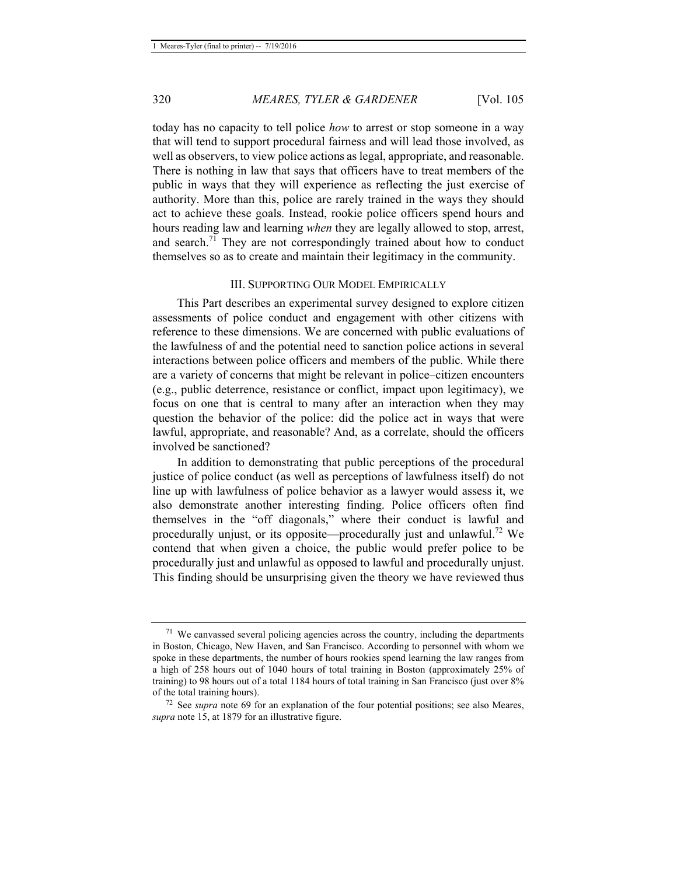today has no capacity to tell police *how* to arrest or stop someone in a way that will tend to support procedural fairness and will lead those involved, as well as observers, to view police actions as legal, appropriate, and reasonable. There is nothing in law that says that officers have to treat members of the public in ways that they will experience as reflecting the just exercise of authority. More than this, police are rarely trained in the ways they should act to achieve these goals. Instead, rookie police officers spend hours and hours reading law and learning *when* they are legally allowed to stop, arrest, and search.<sup>71</sup> They are not correspondingly trained about how to conduct themselves so as to create and maintain their legitimacy in the community.

#### III. SUPPORTING OUR MODEL EMPIRICALLY

This Part describes an experimental survey designed to explore citizen assessments of police conduct and engagement with other citizens with reference to these dimensions. We are concerned with public evaluations of the lawfulness of and the potential need to sanction police actions in several interactions between police officers and members of the public. While there are a variety of concerns that might be relevant in police–citizen encounters (e.g., public deterrence, resistance or conflict, impact upon legitimacy), we focus on one that is central to many after an interaction when they may question the behavior of the police: did the police act in ways that were lawful, appropriate, and reasonable? And, as a correlate, should the officers involved be sanctioned?

In addition to demonstrating that public perceptions of the procedural justice of police conduct (as well as perceptions of lawfulness itself) do not line up with lawfulness of police behavior as a lawyer would assess it, we also demonstrate another interesting finding. Police officers often find themselves in the "off diagonals," where their conduct is lawful and procedurally unjust, or its opposite—procedurally just and unlawful.<sup>72</sup> We contend that when given a choice, the public would prefer police to be procedurally just and unlawful as opposed to lawful and procedurally unjust. This finding should be unsurprising given the theory we have reviewed thus

 $71$  We canvassed several policing agencies across the country, including the departments in Boston, Chicago, New Haven, and San Francisco. According to personnel with whom we spoke in these departments, the number of hours rookies spend learning the law ranges from a high of 258 hours out of 1040 hours of total training in Boston (approximately 25% of training) to 98 hours out of a total 1184 hours of total training in San Francisco (just over 8% of the total training hours). 72 See *supra* note 69 for an explanation of the four potential positions; see also Meares,

*supra* note 15, at 1879 for an illustrative figure.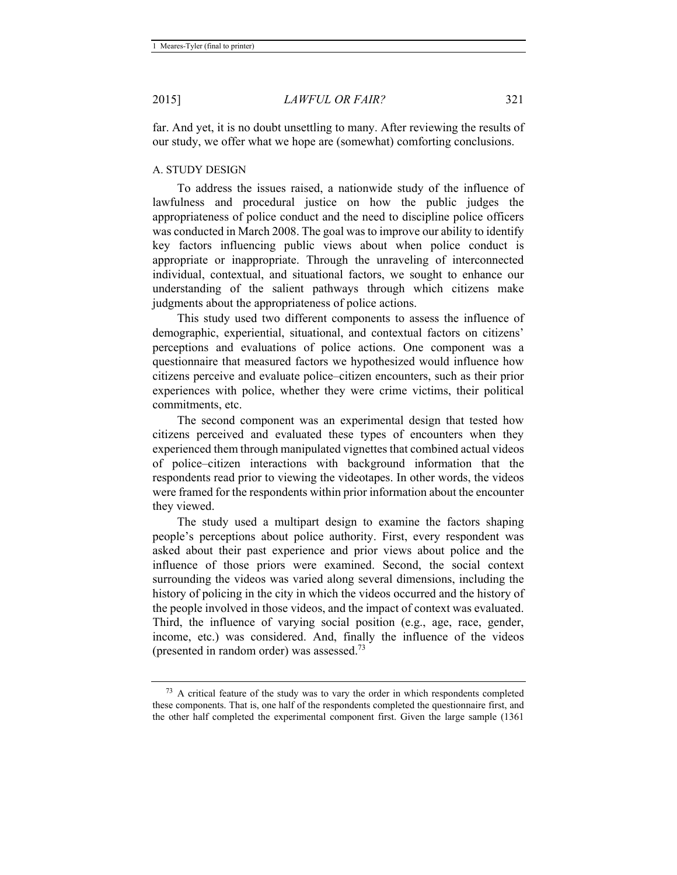far. And yet, it is no doubt unsettling to many. After reviewing the results of our study, we offer what we hope are (somewhat) comforting conclusions.

#### A. STUDY DESIGN

To address the issues raised, a nationwide study of the influence of lawfulness and procedural justice on how the public judges the appropriateness of police conduct and the need to discipline police officers was conducted in March 2008. The goal was to improve our ability to identify key factors influencing public views about when police conduct is appropriate or inappropriate. Through the unraveling of interconnected individual, contextual, and situational factors, we sought to enhance our understanding of the salient pathways through which citizens make judgments about the appropriateness of police actions.

This study used two different components to assess the influence of demographic, experiential, situational, and contextual factors on citizens' perceptions and evaluations of police actions. One component was a questionnaire that measured factors we hypothesized would influence how citizens perceive and evaluate police–citizen encounters, such as their prior experiences with police, whether they were crime victims, their political commitments, etc.

The second component was an experimental design that tested how citizens perceived and evaluated these types of encounters when they experienced them through manipulated vignettes that combined actual videos of police–citizen interactions with background information that the respondents read prior to viewing the videotapes. In other words, the videos were framed for the respondents within prior information about the encounter they viewed.

The study used a multipart design to examine the factors shaping people's perceptions about police authority. First, every respondent was asked about their past experience and prior views about police and the influence of those priors were examined. Second, the social context surrounding the videos was varied along several dimensions, including the history of policing in the city in which the videos occurred and the history of the people involved in those videos, and the impact of context was evaluated. Third, the influence of varying social position (e.g., age, race, gender, income, etc.) was considered. And, finally the influence of the videos (presented in random order) was assessed.73

 $73$  A critical feature of the study was to vary the order in which respondents completed these components. That is, one half of the respondents completed the questionnaire first, and the other half completed the experimental component first. Given the large sample (1361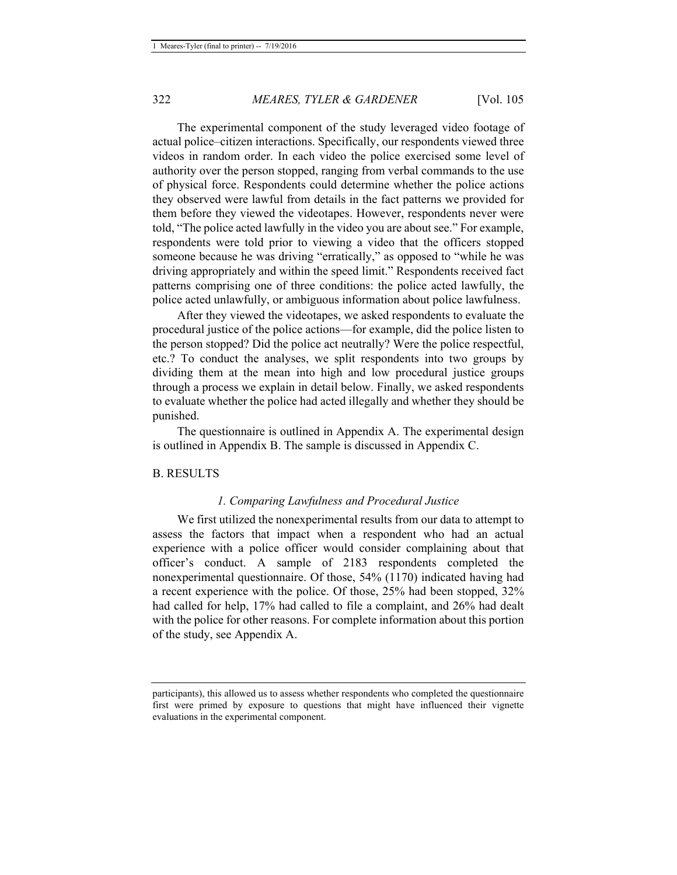The experimental component of the study leveraged video footage of actual police–citizen interactions. Specifically, our respondents viewed three videos in random order. In each video the police exercised some level of authority over the person stopped, ranging from verbal commands to the use of physical force. Respondents could determine whether the police actions they observed were lawful from details in the fact patterns we provided for them before they viewed the videotapes. However, respondents never were told, "The police acted lawfully in the video you are about see." For example, respondents were told prior to viewing a video that the officers stopped someone because he was driving "erratically," as opposed to "while he was driving appropriately and within the speed limit." Respondents received fact patterns comprising one of three conditions: the police acted lawfully, the police acted unlawfully, or ambiguous information about police lawfulness.

After they viewed the videotapes, we asked respondents to evaluate the procedural justice of the police actions—for example, did the police listen to the person stopped? Did the police act neutrally? Were the police respectful, etc.? To conduct the analyses, we split respondents into two groups by dividing them at the mean into high and low procedural justice groups through a process we explain in detail below. Finally, we asked respondents to evaluate whether the police had acted illegally and whether they should be punished.

The questionnaire is outlined in Appendix A. The experimental design is outlined in Appendix B. The sample is discussed in Appendix C.

#### B. RESULTS

#### *1. Comparing Lawfulness and Procedural Justice*

We first utilized the nonexperimental results from our data to attempt to assess the factors that impact when a respondent who had an actual experience with a police officer would consider complaining about that officer's conduct. A sample of 2183 respondents completed the nonexperimental questionnaire. Of those, 54% (1170) indicated having had a recent experience with the police. Of those, 25% had been stopped, 32% had called for help, 17% had called to file a complaint, and 26% had dealt with the police for other reasons. For complete information about this portion of the study, see Appendix A.

participants), this allowed us to assess whether respondents who completed the questionnaire first were primed by exposure to questions that might have influenced their vignette evaluations in the experimental component.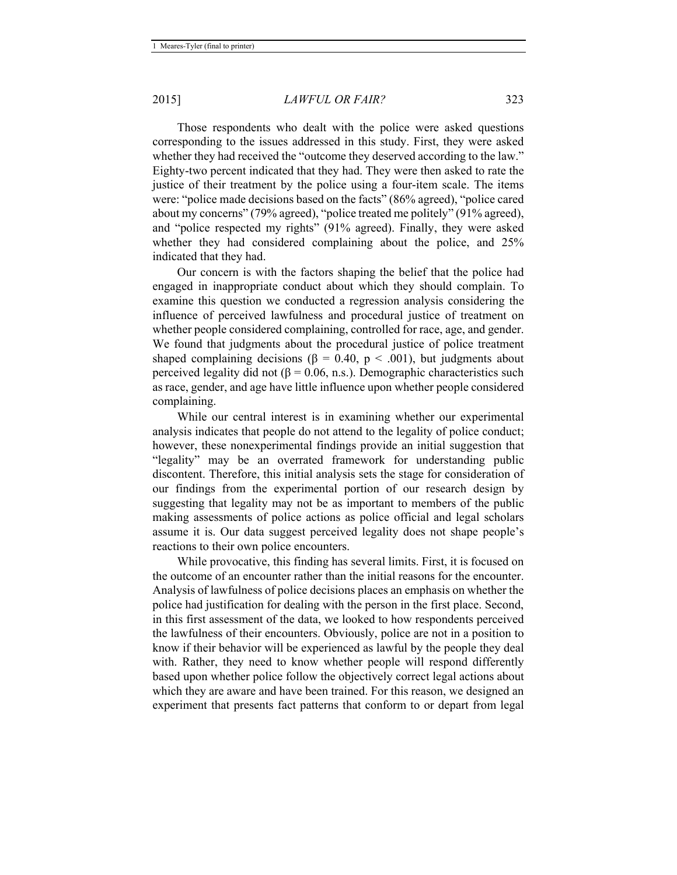Those respondents who dealt with the police were asked questions corresponding to the issues addressed in this study. First, they were asked whether they had received the "outcome they deserved according to the law." Eighty-two percent indicated that they had. They were then asked to rate the justice of their treatment by the police using a four-item scale. The items were: "police made decisions based on the facts" (86% agreed), "police cared about my concerns" (79% agreed), "police treated me politely" (91% agreed), and "police respected my rights" (91% agreed). Finally, they were asked whether they had considered complaining about the police, and 25% indicated that they had.

Our concern is with the factors shaping the belief that the police had engaged in inappropriate conduct about which they should complain. To examine this question we conducted a regression analysis considering the influence of perceived lawfulness and procedural justice of treatment on whether people considered complaining, controlled for race, age, and gender. We found that judgments about the procedural justice of police treatment shaped complaining decisions ( $\beta = 0.40$ ,  $p < .001$ ), but judgments about perceived legality did not ( $\beta$  = 0.06, n.s.). Demographic characteristics such as race, gender, and age have little influence upon whether people considered complaining.

While our central interest is in examining whether our experimental analysis indicates that people do not attend to the legality of police conduct; however, these nonexperimental findings provide an initial suggestion that "legality" may be an overrated framework for understanding public discontent. Therefore, this initial analysis sets the stage for consideration of our findings from the experimental portion of our research design by suggesting that legality may not be as important to members of the public making assessments of police actions as police official and legal scholars assume it is. Our data suggest perceived legality does not shape people's reactions to their own police encounters.

While provocative, this finding has several limits. First, it is focused on the outcome of an encounter rather than the initial reasons for the encounter. Analysis of lawfulness of police decisions places an emphasis on whether the police had justification for dealing with the person in the first place. Second, in this first assessment of the data, we looked to how respondents perceived the lawfulness of their encounters. Obviously, police are not in a position to know if their behavior will be experienced as lawful by the people they deal with. Rather, they need to know whether people will respond differently based upon whether police follow the objectively correct legal actions about which they are aware and have been trained. For this reason, we designed an experiment that presents fact patterns that conform to or depart from legal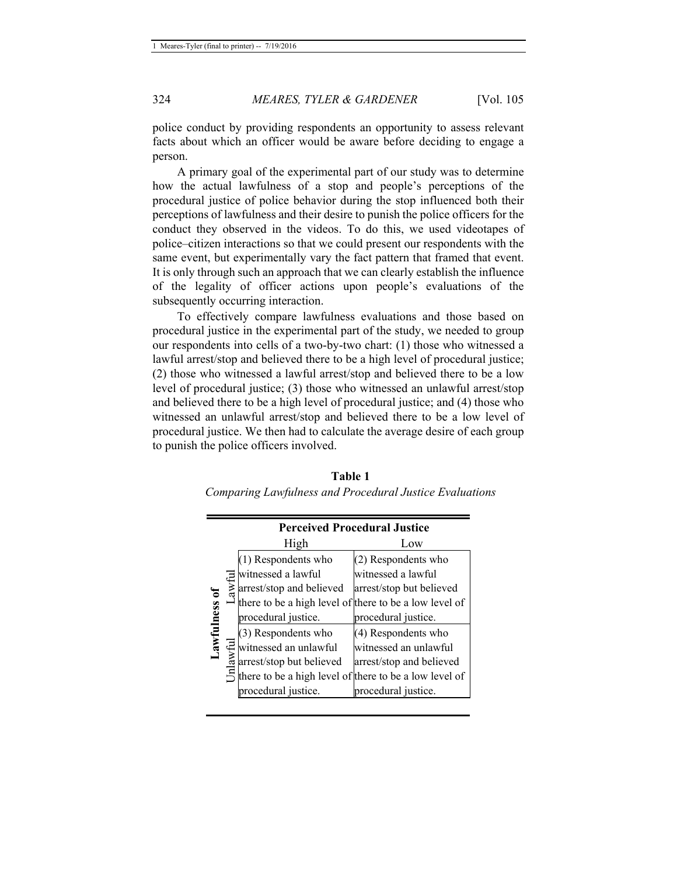police conduct by providing respondents an opportunity to assess relevant facts about which an officer would be aware before deciding to engage a person.

A primary goal of the experimental part of our study was to determine how the actual lawfulness of a stop and people's perceptions of the procedural justice of police behavior during the stop influenced both their perceptions of lawfulness and their desire to punish the police officers for the conduct they observed in the videos. To do this, we used videotapes of police–citizen interactions so that we could present our respondents with the same event, but experimentally vary the fact pattern that framed that event. It is only through such an approach that we can clearly establish the influence of the legality of officer actions upon people's evaluations of the subsequently occurring interaction.

To effectively compare lawfulness evaluations and those based on procedural justice in the experimental part of the study, we needed to group our respondents into cells of a two-by-two chart: (1) those who witnessed a lawful arrest/stop and believed there to be a high level of procedural justice; (2) those who witnessed a lawful arrest/stop and believed there to be a low level of procedural justice; (3) those who witnessed an unlawful arrest/stop and believed there to be a high level of procedural justice; and (4) those who witnessed an unlawful arrest/stop and believed there to be a low level of procedural justice. We then had to calculate the average desire of each group to punish the police officers involved.

|               | <b>Perceived Procedural Justice</b> |                                                                                                                                                                                        |                          |  |
|---------------|-------------------------------------|----------------------------------------------------------------------------------------------------------------------------------------------------------------------------------------|--------------------------|--|
| Lawfulness of |                                     | High                                                                                                                                                                                   | Low                      |  |
|               |                                     | (1) Respondents who                                                                                                                                                                    | (2) Respondents who      |  |
|               |                                     | witnessed a lawful                                                                                                                                                                     | witnessed a lawful       |  |
|               | awful                               | arrest/stop and believed                                                                                                                                                               | arrest/stop but believed |  |
|               |                                     | there to be a high level of there to be a low level of                                                                                                                                 |                          |  |
|               |                                     | procedural justice.                                                                                                                                                                    | procedural justice.      |  |
|               |                                     | (3) Respondents who                                                                                                                                                                    | (4) Respondents who      |  |
|               |                                     | witnessed an unlawful<br>arrest/stop but believed<br>finesed an unlawful<br>finesed an unlawful<br>arrest/stop and believed<br>finese to be a high level of there to be a low level of |                          |  |
|               |                                     |                                                                                                                                                                                        |                          |  |
|               |                                     |                                                                                                                                                                                        |                          |  |
|               |                                     | procedural justice.                                                                                                                                                                    | procedural justice.      |  |

**Table 1**  *Comparing Lawfulness and Procedural Justice Evaluations*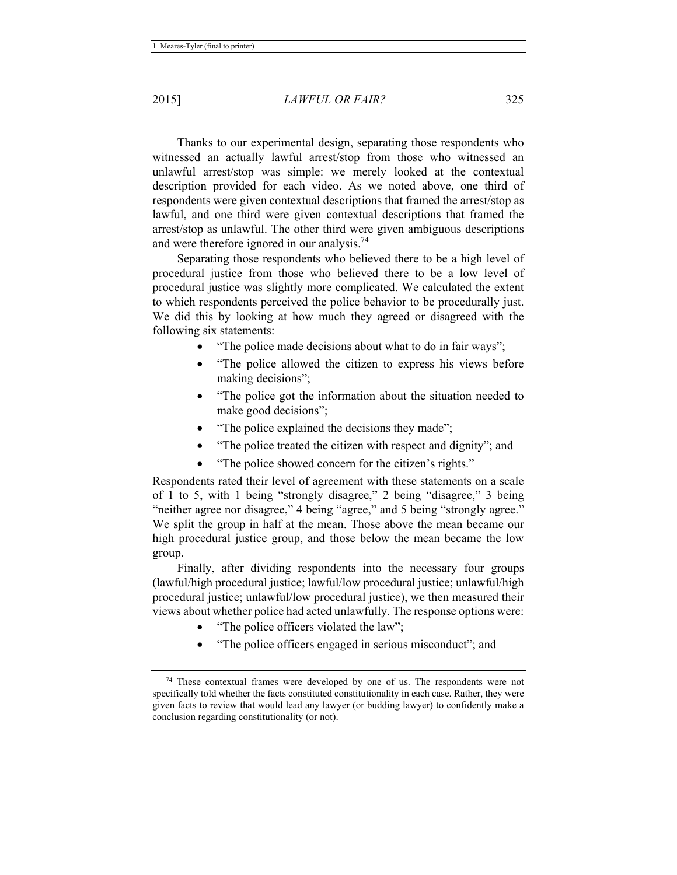Thanks to our experimental design, separating those respondents who witnessed an actually lawful arrest/stop from those who witnessed an unlawful arrest/stop was simple: we merely looked at the contextual description provided for each video. As we noted above, one third of respondents were given contextual descriptions that framed the arrest/stop as lawful, and one third were given contextual descriptions that framed the arrest/stop as unlawful. The other third were given ambiguous descriptions and were therefore ignored in our analysis.<sup>74</sup>

Separating those respondents who believed there to be a high level of procedural justice from those who believed there to be a low level of procedural justice was slightly more complicated. We calculated the extent to which respondents perceived the police behavior to be procedurally just. We did this by looking at how much they agreed or disagreed with the following six statements:

- "The police made decisions about what to do in fair ways";
- "The police allowed the citizen to express his views before making decisions";
- "The police got the information about the situation needed to make good decisions";
- "The police explained the decisions they made";
- "The police treated the citizen with respect and dignity"; and
- "The police showed concern for the citizen's rights."

Respondents rated their level of agreement with these statements on a scale of 1 to 5, with 1 being "strongly disagree," 2 being "disagree," 3 being "neither agree nor disagree," 4 being "agree," and 5 being "strongly agree." We split the group in half at the mean. Those above the mean became our high procedural justice group, and those below the mean became the low group.

Finally, after dividing respondents into the necessary four groups (lawful/high procedural justice; lawful/low procedural justice; unlawful/high procedural justice; unlawful/low procedural justice), we then measured their views about whether police had acted unlawfully. The response options were:

- "The police officers violated the law";
- "The police officers engaged in serious misconduct"; and

<sup>74</sup> These contextual frames were developed by one of us. The respondents were not specifically told whether the facts constituted constitutionality in each case. Rather, they were given facts to review that would lead any lawyer (or budding lawyer) to confidently make a conclusion regarding constitutionality (or not).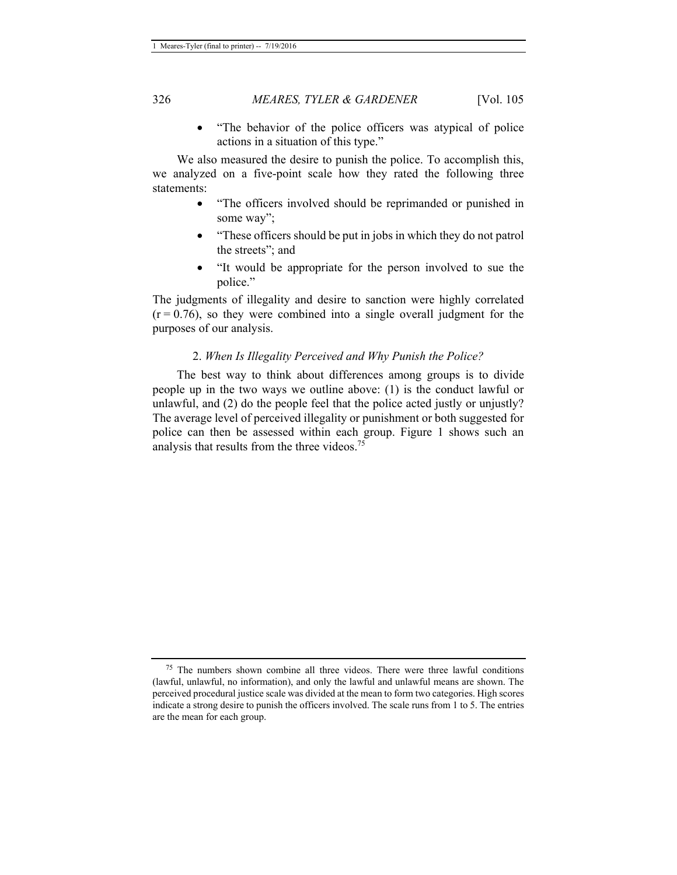• "The behavior of the police officers was atypical of police actions in a situation of this type."

 We also measured the desire to punish the police. To accomplish this, we analyzed on a five-point scale how they rated the following three statements:

- "The officers involved should be reprimanded or punished in some way";
- "These officers should be put in jobs in which they do not patrol the streets"; and
- "It would be appropriate for the person involved to sue the police."

The judgments of illegality and desire to sanction were highly correlated  $(r = 0.76)$ , so they were combined into a single overall judgment for the purposes of our analysis.

#### 2. *When Is Illegality Perceived and Why Punish the Police?*

 The best way to think about differences among groups is to divide people up in the two ways we outline above: (1) is the conduct lawful or unlawful, and (2) do the people feel that the police acted justly or unjustly? The average level of perceived illegality or punishment or both suggested for police can then be assessed within each group. Figure 1 shows such an analysis that results from the three videos.<sup>75</sup>

 $75$  The numbers shown combine all three videos. There were three lawful conditions (lawful, unlawful, no information), and only the lawful and unlawful means are shown. The perceived procedural justice scale was divided at the mean to form two categories. High scores indicate a strong desire to punish the officers involved. The scale runs from 1 to 5. The entries are the mean for each group.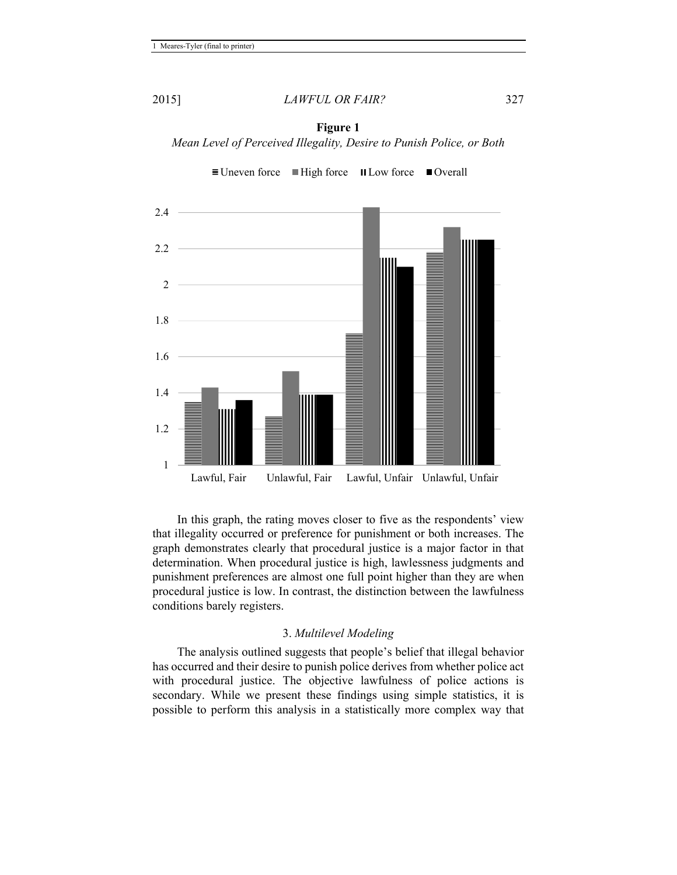

 $\equiv$  Uneven force  $\equiv$  High force  $\equiv$  Low force  $\equiv$  Overall



In this graph, the rating moves closer to five as the respondents' view that illegality occurred or preference for punishment or both increases. The graph demonstrates clearly that procedural justice is a major factor in that determination. When procedural justice is high, lawlessness judgments and punishment preferences are almost one full point higher than they are when procedural justice is low. In contrast, the distinction between the lawfulness conditions barely registers.

#### 3. *Multilevel Modeling*

The analysis outlined suggests that people's belief that illegal behavior has occurred and their desire to punish police derives from whether police act with procedural justice. The objective lawfulness of police actions is secondary. While we present these findings using simple statistics, it is possible to perform this analysis in a statistically more complex way that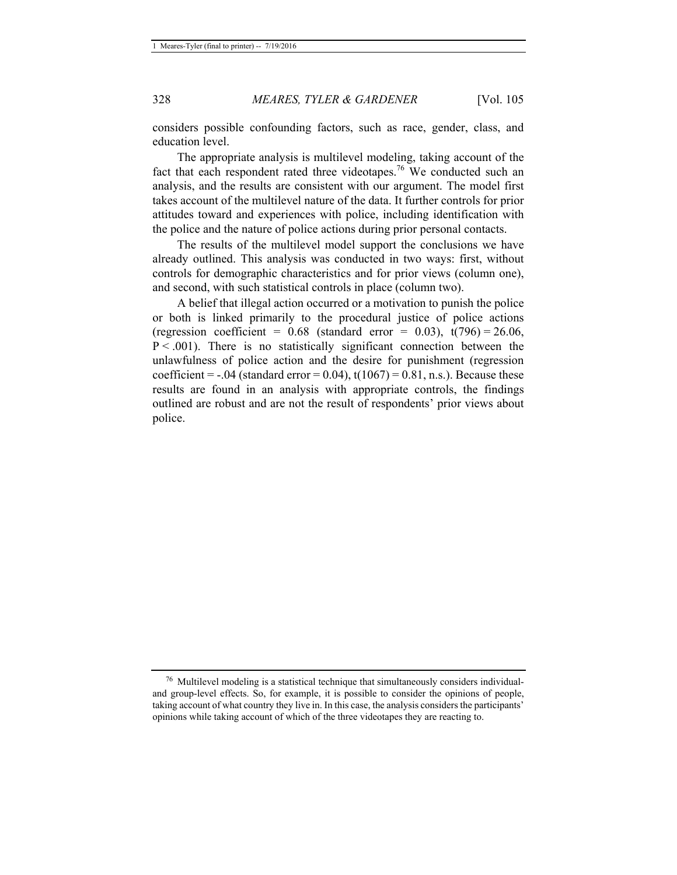considers possible confounding factors, such as race, gender, class, and education level.

The appropriate analysis is multilevel modeling, taking account of the fact that each respondent rated three videotapes.<sup>76</sup> We conducted such an analysis, and the results are consistent with our argument. The model first takes account of the multilevel nature of the data. It further controls for prior attitudes toward and experiences with police, including identification with the police and the nature of police actions during prior personal contacts.

The results of the multilevel model support the conclusions we have already outlined. This analysis was conducted in two ways: first, without controls for demographic characteristics and for prior views (column one), and second, with such statistical controls in place (column two).

A belief that illegal action occurred or a motivation to punish the police or both is linked primarily to the procedural justice of police actions (regression coefficient =  $0.68$  (standard error =  $0.03$ ),  $t(796) = 26.06$ ,  $P < .001$ ). There is no statistically significant connection between the unlawfulness of police action and the desire for punishment (regression coefficient =  $-.04$  (standard error = 0.04), t(1067) = 0.81, n.s.). Because these results are found in an analysis with appropriate controls, the findings outlined are robust and are not the result of respondents' prior views about police.

<sup>76</sup> Multilevel modeling is a statistical technique that simultaneously considers individualand group-level effects. So, for example, it is possible to consider the opinions of people, taking account of what country they live in. In this case, the analysis considers the participants' opinions while taking account of which of the three videotapes they are reacting to.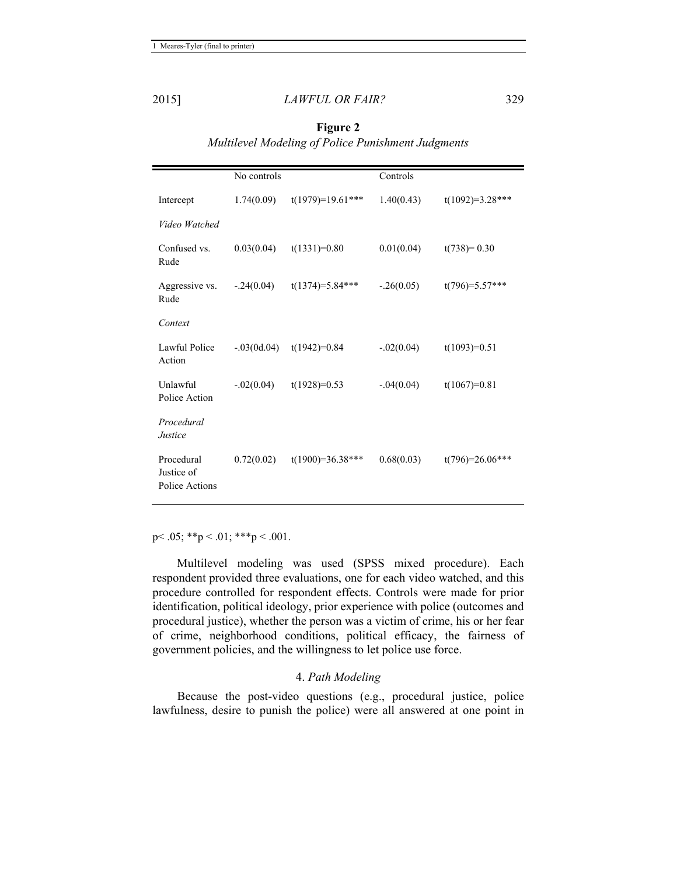|                                            | No controls   |                    | Controls     |                   |
|--------------------------------------------|---------------|--------------------|--------------|-------------------|
| Intercept                                  | 1.74(0.09)    | $t(1979)=19.61***$ | 1.40(0.43)   | $t(1092)=3.28***$ |
| Video Watched                              |               |                    |              |                   |
| Confused vs.<br>Rude                       | 0.03(0.04)    | $t(1331)=0.80$     | 0.01(0.04)   | $t(738)=0.30$     |
| Aggressive vs.<br>Rude                     | $-.24(0.04)$  | $t(1374)=5.84***$  | $-.26(0.05)$ | $t(796)=5.57***$  |
| Context                                    |               |                    |              |                   |
| Lawful Police<br>Action                    | $-.03(0d.04)$ | $t(1942)=0.84$     | $-.02(0.04)$ | $t(1093)=0.51$    |
| Unlawful<br>Police Action                  | $-.02(0.04)$  | $t(1928)=0.53$     | $-.04(0.04)$ | $t(1067)=0.81$    |
| Procedural<br>Justice                      |               |                    |              |                   |
| Procedural<br>Justice of<br>Police Actions | 0.72(0.02)    | $t(1900)=36.38***$ | 0.68(0.03)   | $t(796)=26.06***$ |

**Figure 2**  *Multilevel Modeling of Police Punishment Judgments* 

p < .05; \*\*p < .01; \*\*\*p < .001.

 Multilevel modeling was used (SPSS mixed procedure). Each respondent provided three evaluations, one for each video watched, and this procedure controlled for respondent effects. Controls were made for prior identification, political ideology, prior experience with police (outcomes and procedural justice), whether the person was a victim of crime, his or her fear of crime, neighborhood conditions, political efficacy, the fairness of government policies, and the willingness to let police use force.

#### 4. *Path Modeling*

Because the post-video questions (e.g., procedural justice, police lawfulness, desire to punish the police) were all answered at one point in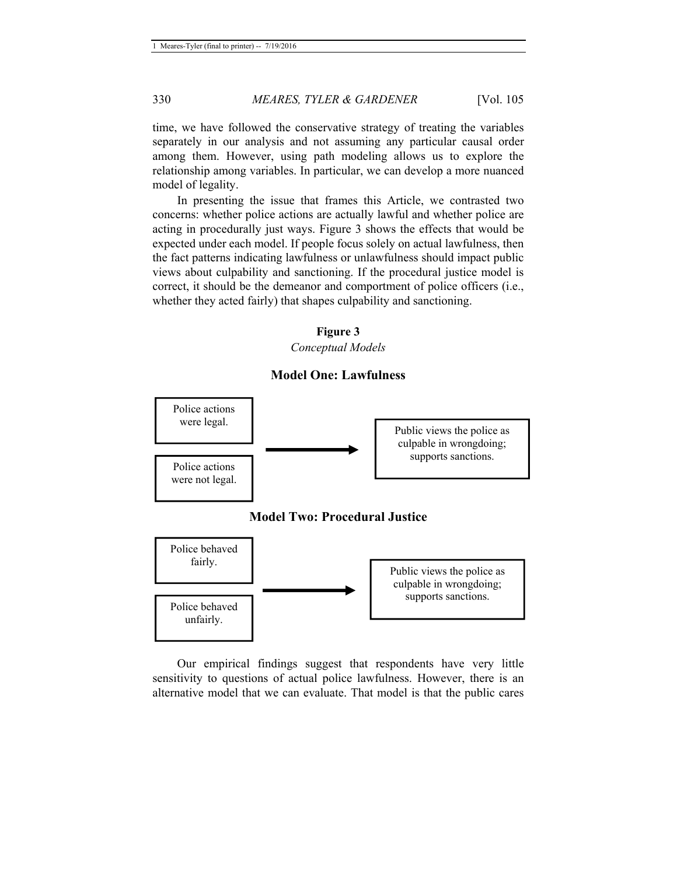time, we have followed the conservative strategy of treating the variables separately in our analysis and not assuming any particular causal order among them. However, using path modeling allows us to explore the relationship among variables. In particular, we can develop a more nuanced model of legality.

In presenting the issue that frames this Article, we contrasted two concerns: whether police actions are actually lawful and whether police are acting in procedurally just ways. Figure 3 shows the effects that would be expected under each model. If people focus solely on actual lawfulness, then the fact patterns indicating lawfulness or unlawfulness should impact public views about culpability and sanctioning. If the procedural justice model is correct, it should be the demeanor and comportment of police officers (i.e., whether they acted fairly) that shapes culpability and sanctioning.

#### **Figure 3**  *Conceptual Models*

#### **Model One: Lawfulness**



Our empirical findings suggest that respondents have very little sensitivity to questions of actual police lawfulness. However, there is an alternative model that we can evaluate. That model is that the public cares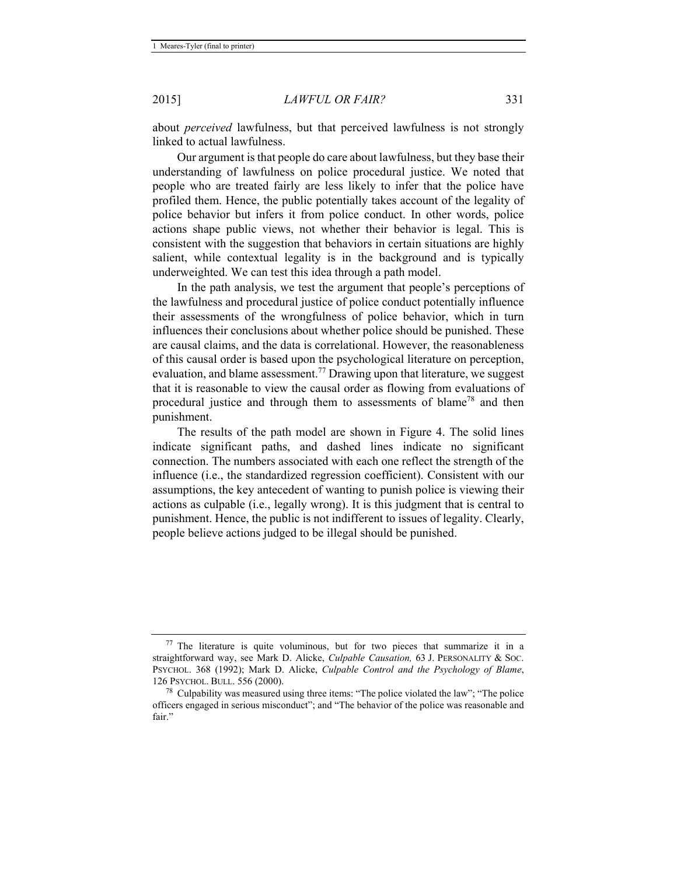about *perceived* lawfulness, but that perceived lawfulness is not strongly linked to actual lawfulness.

Our argument is that people do care about lawfulness, but they base their understanding of lawfulness on police procedural justice. We noted that people who are treated fairly are less likely to infer that the police have profiled them. Hence, the public potentially takes account of the legality of police behavior but infers it from police conduct. In other words, police actions shape public views, not whether their behavior is legal. This is consistent with the suggestion that behaviors in certain situations are highly salient, while contextual legality is in the background and is typically underweighted. We can test this idea through a path model.

In the path analysis, we test the argument that people's perceptions of the lawfulness and procedural justice of police conduct potentially influence their assessments of the wrongfulness of police behavior, which in turn influences their conclusions about whether police should be punished. These are causal claims, and the data is correlational. However, the reasonableness of this causal order is based upon the psychological literature on perception, evaluation, and blame assessment.<sup>77</sup> Drawing upon that literature, we suggest that it is reasonable to view the causal order as flowing from evaluations of procedural justice and through them to assessments of blame<sup>78</sup> and then punishment.

The results of the path model are shown in Figure 4. The solid lines indicate significant paths, and dashed lines indicate no significant connection. The numbers associated with each one reflect the strength of the influence (i.e., the standardized regression coefficient). Consistent with our assumptions, the key antecedent of wanting to punish police is viewing their actions as culpable (i.e., legally wrong). It is this judgment that is central to punishment. Hence, the public is not indifferent to issues of legality. Clearly, people believe actions judged to be illegal should be punished.

 $77$  The literature is quite voluminous, but for two pieces that summarize it in a straightforward way, see Mark D. Alicke, *Culpable Causation,* 63 J. PERSONALITY & SOC. PSYCHOL. 368 (1992); Mark D. Alicke, *Culpable Control and the Psychology of Blame*,

 $18^{\circ}$  Culpability was measured using three items: "The police violated the law"; "The police officers engaged in serious misconduct"; and "The behavior of the police was reasonable and fair."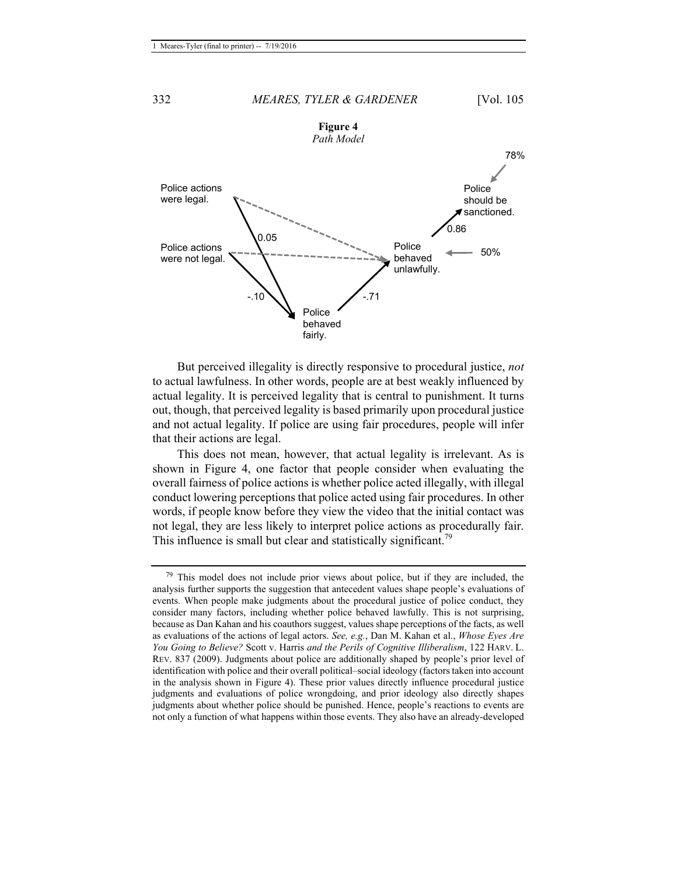

But perceived illegality is directly responsive to procedural justice, *not* to actual lawfulness. In other words, people are at best weakly influenced by actual legality. It is perceived legality that is central to punishment. It turns out, though, that perceived legality is based primarily upon procedural justice and not actual legality. If police are using fair procedures, people will infer that their actions are legal.

This does not mean, however, that actual legality is irrelevant. As is shown in Figure 4, one factor that people consider when evaluating the overall fairness of police actions is whether police acted illegally, with illegal conduct lowering perceptions that police acted using fair procedures. In other words, if people know before they view the video that the initial contact was not legal, they are less likely to interpret police actions as procedurally fair. This influence is small but clear and statistically significant.<sup>79</sup>

 $79$  This model does not include prior views about police, but if they are included, the analysis further supports the suggestion that antecedent values shape people's evaluations of events. When people make judgments about the procedural justice of police conduct, they consider many factors, including whether police behaved lawfully. This is not surprising, because as Dan Kahan and his coauthors suggest, values shape perceptions of the facts, as well as evaluations of the actions of legal actors. *See, e.g.*, Dan M. Kahan et al., *Whose Eyes Are You Going to Believe?* Scott v. Harris *and the Perils of Cognitive Illiberalism*, 122 HARV. L. REV. 837 (2009). Judgments about police are additionally shaped by people's prior level of identification with police and their overall political–social ideology (factors taken into account in the analysis shown in Figure 4). These prior values directly influence procedural justice judgments and evaluations of police wrongdoing, and prior ideology also directly shapes judgments about whether police should be punished. Hence, people's reactions to events are not only a function of what happens within those events. They also have an already-developed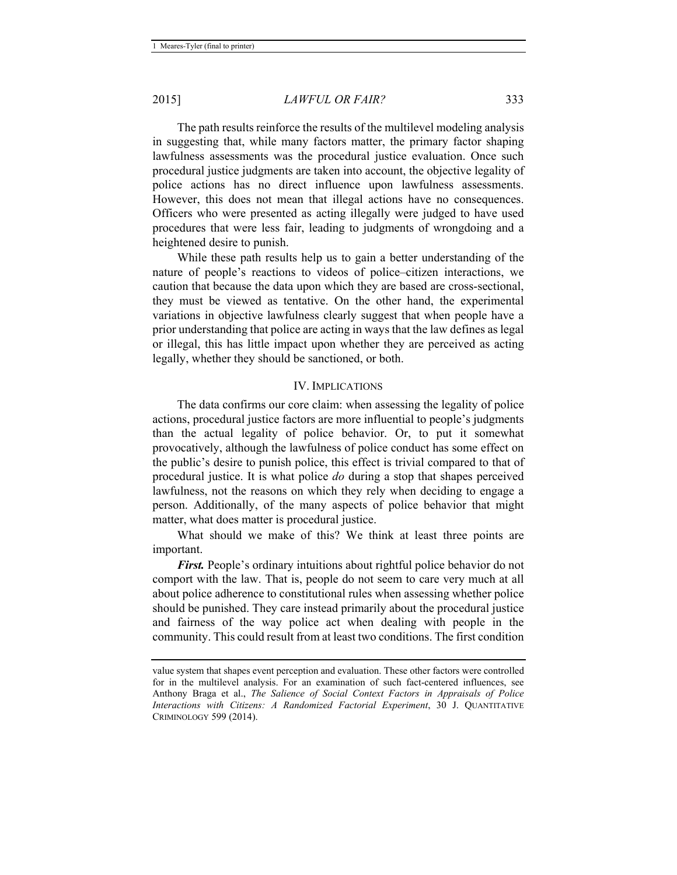The path results reinforce the results of the multilevel modeling analysis in suggesting that, while many factors matter, the primary factor shaping lawfulness assessments was the procedural justice evaluation. Once such procedural justice judgments are taken into account, the objective legality of police actions has no direct influence upon lawfulness assessments. However, this does not mean that illegal actions have no consequences. Officers who were presented as acting illegally were judged to have used procedures that were less fair, leading to judgments of wrongdoing and a heightened desire to punish.

While these path results help us to gain a better understanding of the nature of people's reactions to videos of police–citizen interactions, we caution that because the data upon which they are based are cross-sectional, they must be viewed as tentative. On the other hand, the experimental variations in objective lawfulness clearly suggest that when people have a prior understanding that police are acting in ways that the law defines as legal or illegal, this has little impact upon whether they are perceived as acting legally, whether they should be sanctioned, or both.

#### IV. IMPLICATIONS

The data confirms our core claim: when assessing the legality of police actions, procedural justice factors are more influential to people's judgments than the actual legality of police behavior. Or, to put it somewhat provocatively, although the lawfulness of police conduct has some effect on the public's desire to punish police, this effect is trivial compared to that of procedural justice. It is what police *do* during a stop that shapes perceived lawfulness, not the reasons on which they rely when deciding to engage a person. Additionally, of the many aspects of police behavior that might matter, what does matter is procedural justice.

What should we make of this? We think at least three points are important.

*First.* People's ordinary intuitions about rightful police behavior do not comport with the law. That is, people do not seem to care very much at all about police adherence to constitutional rules when assessing whether police should be punished. They care instead primarily about the procedural justice and fairness of the way police act when dealing with people in the community. This could result from at least two conditions. The first condition

value system that shapes event perception and evaluation. These other factors were controlled for in the multilevel analysis. For an examination of such fact-centered influences, see Anthony Braga et al., *The Salience of Social Context Factors in Appraisals of Police Interactions with Citizens: A Randomized Factorial Experiment*, 30 J. QUANTITATIVE CRIMINOLOGY 599 (2014).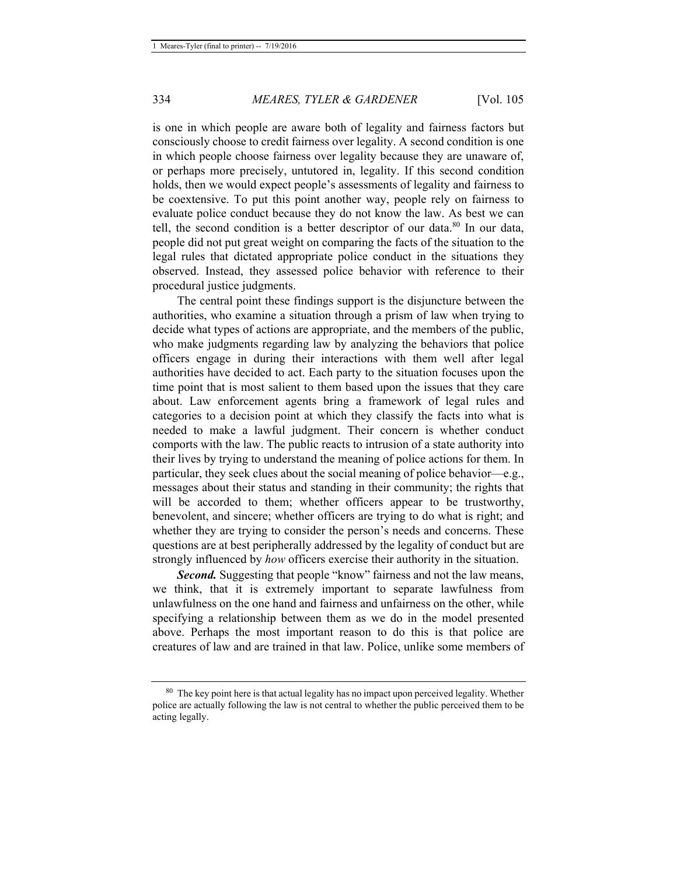is one in which people are aware both of legality and fairness factors but consciously choose to credit fairness over legality. A second condition is one in which people choose fairness over legality because they are unaware of, or perhaps more precisely, untutored in, legality. If this second condition holds, then we would expect people's assessments of legality and fairness to be coextensive. To put this point another way, people rely on fairness to evaluate police conduct because they do not know the law. As best we can tell, the second condition is a better descriptor of our data.<sup>80</sup> In our data, people did not put great weight on comparing the facts of the situation to the legal rules that dictated appropriate police conduct in the situations they observed. Instead, they assessed police behavior with reference to their procedural justice judgments.

The central point these findings support is the disjuncture between the authorities, who examine a situation through a prism of law when trying to decide what types of actions are appropriate, and the members of the public, who make judgments regarding law by analyzing the behaviors that police officers engage in during their interactions with them well after legal authorities have decided to act. Each party to the situation focuses upon the time point that is most salient to them based upon the issues that they care about. Law enforcement agents bring a framework of legal rules and categories to a decision point at which they classify the facts into what is needed to make a lawful judgment. Their concern is whether conduct comports with the law. The public reacts to intrusion of a state authority into their lives by trying to understand the meaning of police actions for them. In particular, they seek clues about the social meaning of police behavior—e.g., messages about their status and standing in their community; the rights that will be accorded to them; whether officers appear to be trustworthy, benevolent, and sincere; whether officers are trying to do what is right; and whether they are trying to consider the person's needs and concerns. These questions are at best peripherally addressed by the legality of conduct but are strongly influenced by *how* officers exercise their authority in the situation.

*Second.* Suggesting that people "know" fairness and not the law means, we think, that it is extremely important to separate lawfulness from unlawfulness on the one hand and fairness and unfairness on the other, while specifying a relationship between them as we do in the model presented above. Perhaps the most important reason to do this is that police are creatures of law and are trained in that law. Police, unlike some members of

<sup>&</sup>lt;sup>80</sup> The key point here is that actual legality has no impact upon perceived legality. Whether police are actually following the law is not central to whether the public perceived them to be acting legally.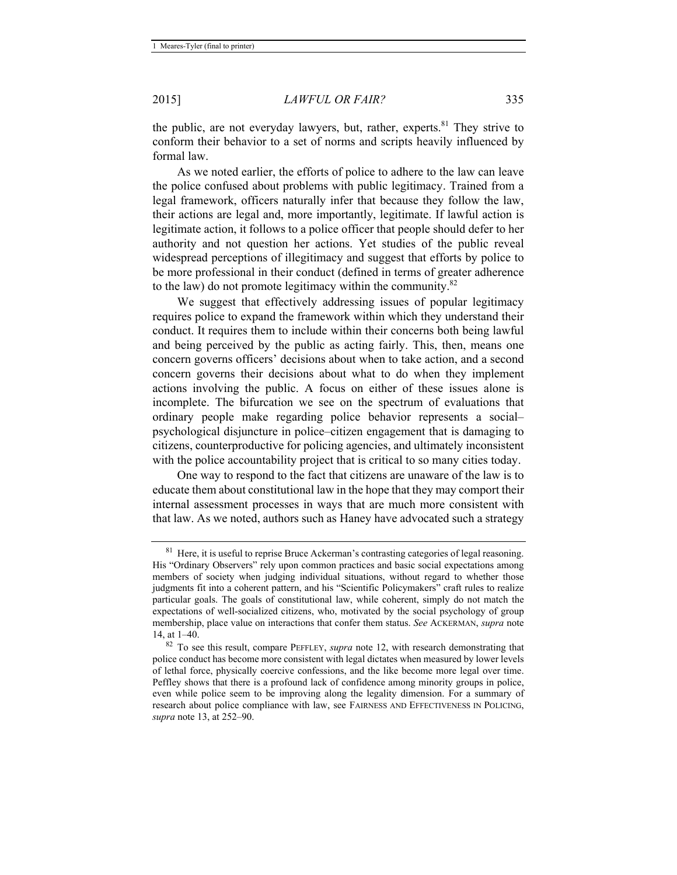the public, are not everyday lawyers, but, rather, experts.<sup>81</sup> They strive to conform their behavior to a set of norms and scripts heavily influenced by formal law.

As we noted earlier, the efforts of police to adhere to the law can leave the police confused about problems with public legitimacy. Trained from a legal framework, officers naturally infer that because they follow the law, their actions are legal and, more importantly, legitimate. If lawful action is legitimate action, it follows to a police officer that people should defer to her authority and not question her actions. Yet studies of the public reveal widespread perceptions of illegitimacy and suggest that efforts by police to be more professional in their conduct (defined in terms of greater adherence to the law) do not promote legitimacy within the community.82

We suggest that effectively addressing issues of popular legitimacy requires police to expand the framework within which they understand their conduct. It requires them to include within their concerns both being lawful and being perceived by the public as acting fairly. This, then, means one concern governs officers' decisions about when to take action, and a second concern governs their decisions about what to do when they implement actions involving the public. A focus on either of these issues alone is incomplete. The bifurcation we see on the spectrum of evaluations that ordinary people make regarding police behavior represents a social– psychological disjuncture in police–citizen engagement that is damaging to citizens, counterproductive for policing agencies, and ultimately inconsistent with the police accountability project that is critical to so many cities today.

One way to respond to the fact that citizens are unaware of the law is to educate them about constitutional law in the hope that they may comport their internal assessment processes in ways that are much more consistent with that law. As we noted, authors such as Haney have advocated such a strategy

 $81$  Here, it is useful to reprise Bruce Ackerman's contrasting categories of legal reasoning. His "Ordinary Observers" rely upon common practices and basic social expectations among members of society when judging individual situations, without regard to whether those judgments fit into a coherent pattern, and his "Scientific Policymakers" craft rules to realize particular goals. The goals of constitutional law, while coherent, simply do not match the expectations of well-socialized citizens, who, motivated by the social psychology of group membership, place value on interactions that confer them status. *See* ACKERMAN, *supra* note 14 at 1–40

<sup>&</sup>lt;sup>82</sup> To see this result, compare PEFFLEY, *supra* note 12, with research demonstrating that police conduct has become more consistent with legal dictates when measured by lower levels of lethal force, physically coercive confessions, and the like become more legal over time. Peffley shows that there is a profound lack of confidence among minority groups in police, even while police seem to be improving along the legality dimension. For a summary of research about police compliance with law, see FAIRNESS AND EFFECTIVENESS IN POLICING, *supra* note 13, at 252–90.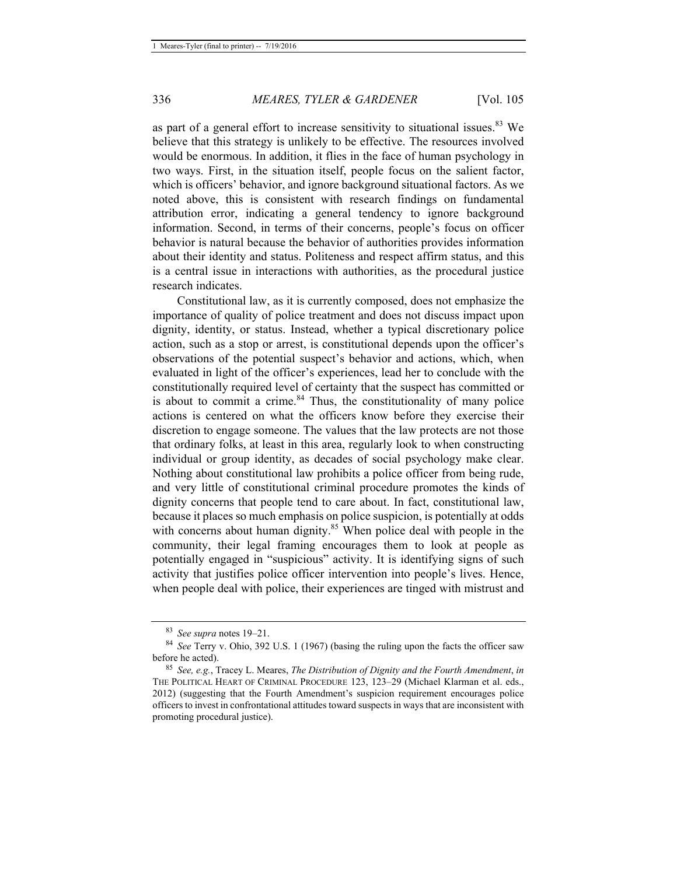as part of a general effort to increase sensitivity to situational issues.<sup>83</sup> We believe that this strategy is unlikely to be effective. The resources involved would be enormous. In addition, it flies in the face of human psychology in two ways. First, in the situation itself, people focus on the salient factor, which is officers' behavior, and ignore background situational factors. As we noted above, this is consistent with research findings on fundamental attribution error, indicating a general tendency to ignore background information. Second, in terms of their concerns, people's focus on officer behavior is natural because the behavior of authorities provides information about their identity and status. Politeness and respect affirm status, and this is a central issue in interactions with authorities, as the procedural justice research indicates.

Constitutional law, as it is currently composed, does not emphasize the importance of quality of police treatment and does not discuss impact upon dignity, identity, or status. Instead, whether a typical discretionary police action, such as a stop or arrest, is constitutional depends upon the officer's observations of the potential suspect's behavior and actions, which, when evaluated in light of the officer's experiences, lead her to conclude with the constitutionally required level of certainty that the suspect has committed or is about to commit a crime. $84$  Thus, the constitutionality of many police actions is centered on what the officers know before they exercise their discretion to engage someone. The values that the law protects are not those that ordinary folks, at least in this area, regularly look to when constructing individual or group identity, as decades of social psychology make clear. Nothing about constitutional law prohibits a police officer from being rude, and very little of constitutional criminal procedure promotes the kinds of dignity concerns that people tend to care about. In fact, constitutional law, because it places so much emphasis on police suspicion, is potentially at odds with concerns about human dignity.<sup>85</sup> When police deal with people in the community, their legal framing encourages them to look at people as potentially engaged in "suspicious" activity. It is identifying signs of such activity that justifies police officer intervention into people's lives. Hence, when people deal with police, their experiences are tinged with mistrust and

<sup>83</sup> *See supra* notes 19–21. 84 *See* Terry v. Ohio, 392 U.S. 1 (1967) (basing the ruling upon the facts the officer saw

<sup>&</sup>lt;sup>85</sup> *See, e.g.*, Tracey L. Meares, *The Distribution of Dignity and the Fourth Amendment*, *in* THE POLITICAL HEART OF CRIMINAL PROCEDURE 123, 123–29 (Michael Klarman et al. eds., 2012) (suggesting that the Fourth Amendment's suspicion requirement encourages police officers to invest in confrontational attitudes toward suspects in ways that are inconsistent with promoting procedural justice).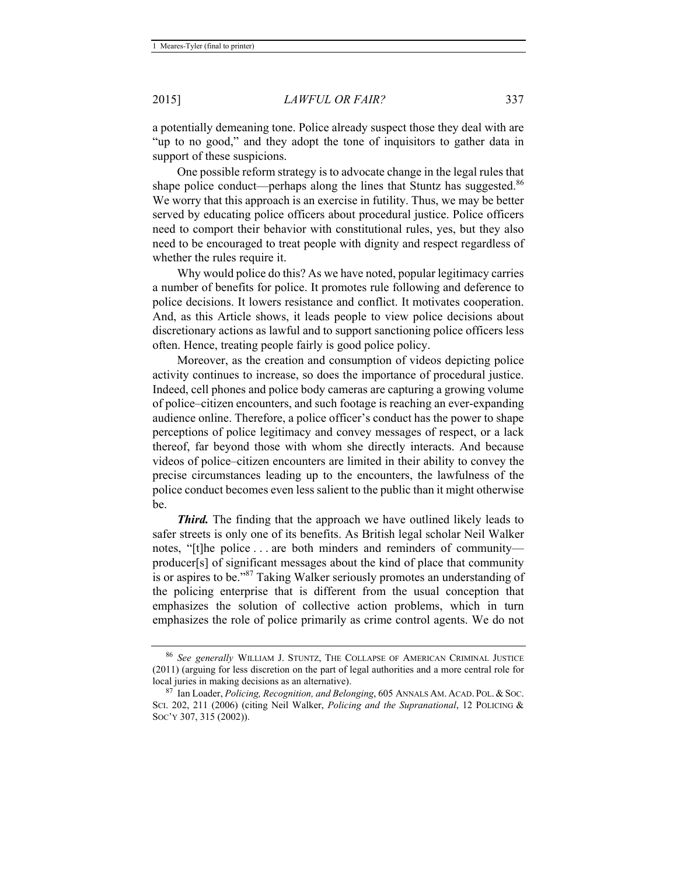a potentially demeaning tone. Police already suspect those they deal with are "up to no good," and they adopt the tone of inquisitors to gather data in support of these suspicions.

One possible reform strategy is to advocate change in the legal rules that shape police conduct—perhaps along the lines that Stuntz has suggested.<sup>86</sup> We worry that this approach is an exercise in futility. Thus, we may be better served by educating police officers about procedural justice. Police officers need to comport their behavior with constitutional rules, yes, but they also need to be encouraged to treat people with dignity and respect regardless of whether the rules require it.

Why would police do this? As we have noted, popular legitimacy carries a number of benefits for police. It promotes rule following and deference to police decisions. It lowers resistance and conflict. It motivates cooperation. And, as this Article shows, it leads people to view police decisions about discretionary actions as lawful and to support sanctioning police officers less often. Hence, treating people fairly is good police policy.

Moreover, as the creation and consumption of videos depicting police activity continues to increase, so does the importance of procedural justice. Indeed, cell phones and police body cameras are capturing a growing volume of police–citizen encounters, and such footage is reaching an ever-expanding audience online. Therefore, a police officer's conduct has the power to shape perceptions of police legitimacy and convey messages of respect, or a lack thereof, far beyond those with whom she directly interacts. And because videos of police–citizen encounters are limited in their ability to convey the precise circumstances leading up to the encounters, the lawfulness of the police conduct becomes even less salient to the public than it might otherwise be.

*Third.* The finding that the approach we have outlined likely leads to safer streets is only one of its benefits. As British legal scholar Neil Walker notes, "[t]he police . . . are both minders and reminders of community producer[s] of significant messages about the kind of place that community is or aspires to be."87 Taking Walker seriously promotes an understanding of the policing enterprise that is different from the usual conception that emphasizes the solution of collective action problems, which in turn emphasizes the role of police primarily as crime control agents. We do not

<sup>86</sup> *See generally* WILLIAM J. STUNTZ, THE COLLAPSE OF AMERICAN CRIMINAL JUSTICE (2011) (arguing for less discretion on the part of legal authorities and a more central role for local juries in making decisions as an alternative). 87 Ian Loader, *Policing, Recognition, and Belonging*, 605 ANNALS AM. ACAD. POL. & SOC.

SCI. 202, 211 (2006) (citing Neil Walker, *Policing and the Supranational*, 12 POLICING & SOC'Y 307, 315 (2002)).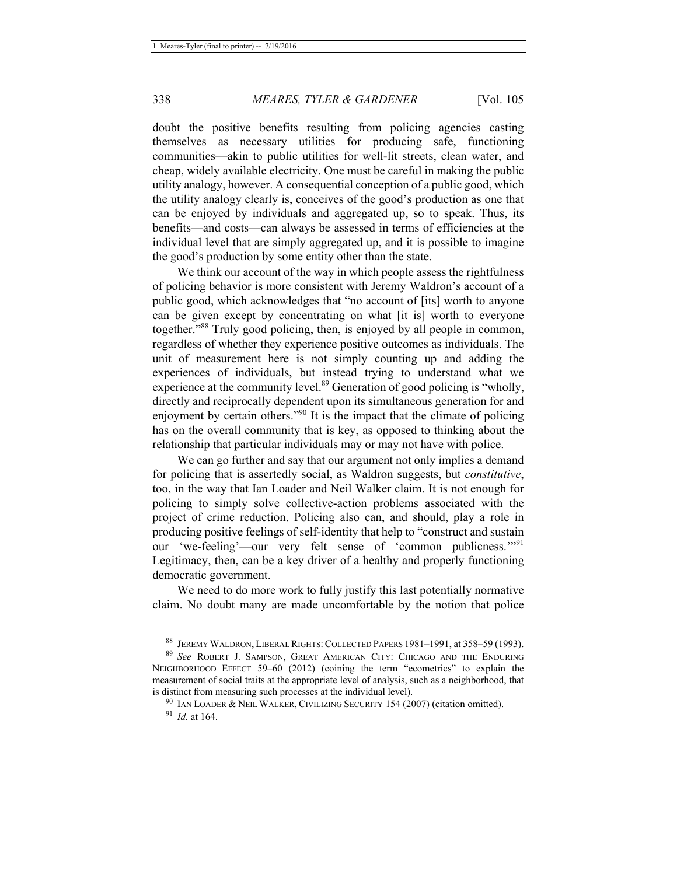doubt the positive benefits resulting from policing agencies casting themselves as necessary utilities for producing safe, functioning communities—akin to public utilities for well-lit streets, clean water, and cheap, widely available electricity. One must be careful in making the public utility analogy, however. A consequential conception of a public good, which the utility analogy clearly is, conceives of the good's production as one that can be enjoyed by individuals and aggregated up, so to speak. Thus, its benefits—and costs—can always be assessed in terms of efficiencies at the individual level that are simply aggregated up, and it is possible to imagine the good's production by some entity other than the state.

We think our account of the way in which people assess the rightfulness of policing behavior is more consistent with Jeremy Waldron's account of a public good, which acknowledges that "no account of [its] worth to anyone can be given except by concentrating on what [it is] worth to everyone together."88 Truly good policing, then, is enjoyed by all people in common, regardless of whether they experience positive outcomes as individuals. The unit of measurement here is not simply counting up and adding the experiences of individuals, but instead trying to understand what we experience at the community level. $89$  Generation of good policing is "wholly, directly and reciprocally dependent upon its simultaneous generation for and enjoyment by certain others.<sup>"90</sup> It is the impact that the climate of policing has on the overall community that is key, as opposed to thinking about the relationship that particular individuals may or may not have with police.

We can go further and say that our argument not only implies a demand for policing that is assertedly social, as Waldron suggests, but *constitutive*, too, in the way that Ian Loader and Neil Walker claim. It is not enough for policing to simply solve collective-action problems associated with the project of crime reduction. Policing also can, and should, play a role in producing positive feelings of self-identity that help to "construct and sustain our 'we-feeling'—our very felt sense of 'common publicness.'"<sup>91</sup> Legitimacy, then, can be a key driver of a healthy and properly functioning democratic government.

We need to do more work to fully justify this last potentially normative claim. No doubt many are made uncomfortable by the notion that police

<sup>88</sup> JEREMY WALDRON, LIBERAL RIGHTS:COLLECTED PAPERS 1981–1991, at 358–59 (1993). 89 *See* ROBERT J. SAMPSON, GREAT AMERICAN CITY: CHICAGO AND THE ENDURING

NEIGHBORHOOD EFFECT 59–60 (2012) (coining the term "ecometrics" to explain the measurement of social traits at the appropriate level of analysis, such as a neighborhood, that

is distinct from measuring such processes at the individual level).<br><sup>90</sup> IAN LOADER & NEIL WALKER, CIVILIZING SECURITY 154 (2007) (citation omitted).<br><sup>91</sup> *Id.* at 164.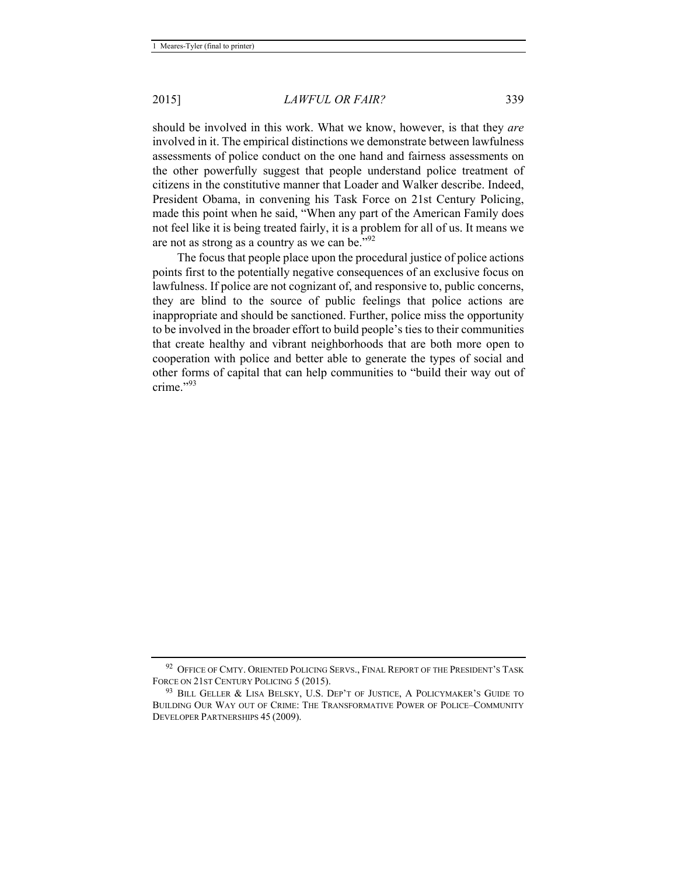should be involved in this work. What we know, however, is that they *are* involved in it. The empirical distinctions we demonstrate between lawfulness assessments of police conduct on the one hand and fairness assessments on the other powerfully suggest that people understand police treatment of citizens in the constitutive manner that Loader and Walker describe. Indeed, President Obama, in convening his Task Force on 21st Century Policing, made this point when he said, "When any part of the American Family does not feel like it is being treated fairly, it is a problem for all of us. It means we are not as strong as a country as we can be."<sup>92</sup>

The focus that people place upon the procedural justice of police actions points first to the potentially negative consequences of an exclusive focus on lawfulness. If police are not cognizant of, and responsive to, public concerns, they are blind to the source of public feelings that police actions are inappropriate and should be sanctioned. Further, police miss the opportunity to be involved in the broader effort to build people's ties to their communities that create healthy and vibrant neighborhoods that are both more open to cooperation with police and better able to generate the types of social and other forms of capital that can help communities to "build their way out of crime<sup>"93</sup>

<sup>&</sup>lt;sup>92</sup> OFFICE OF CMTY. ORIENTED POLICING SERVS., FINAL REPORT OF THE PRESIDENT'S TASK FORCE ON 21ST CENTURY POLICING 5 (2015).<br><sup>93</sup> BILL GELLER & LISA BELSKY, U.S. DEP'T OF JUSTICE, A POLICYMAKER'S GUIDE TO

BUILDING OUR WAY OUT OF CRIME: THE TRANSFORMATIVE POWER OF POLICE–COMMUNITY DEVELOPER PARTNERSHIPS 45 (2009).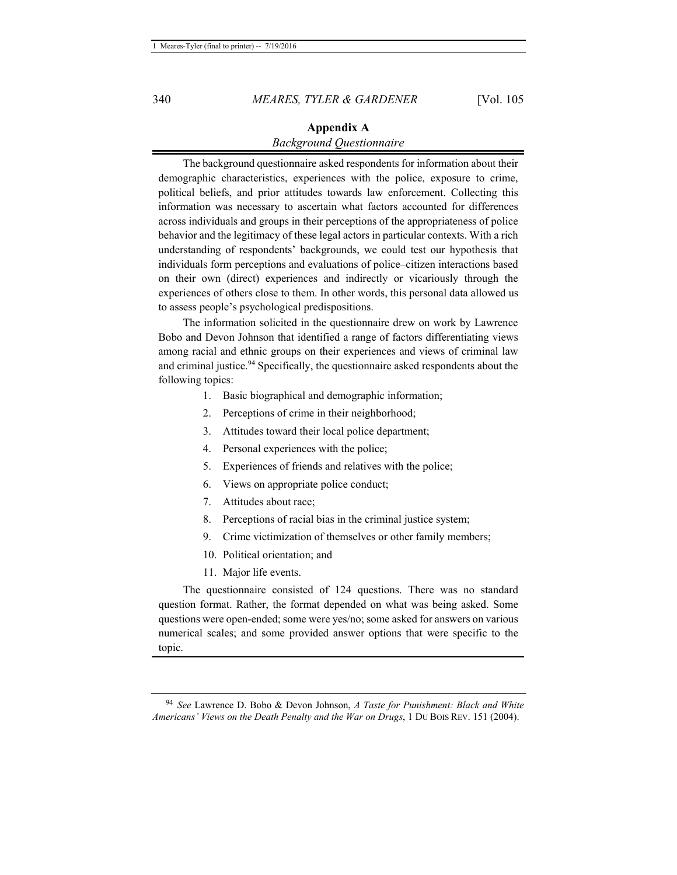#### **Appendix A**  *Background Questionnaire*

The background questionnaire asked respondents for information about their demographic characteristics, experiences with the police, exposure to crime, political beliefs, and prior attitudes towards law enforcement. Collecting this information was necessary to ascertain what factors accounted for differences across individuals and groups in their perceptions of the appropriateness of police behavior and the legitimacy of these legal actors in particular contexts. With a rich understanding of respondents' backgrounds, we could test our hypothesis that individuals form perceptions and evaluations of police–citizen interactions based on their own (direct) experiences and indirectly or vicariously through the experiences of others close to them. In other words, this personal data allowed us to assess people's psychological predispositions.

The information solicited in the questionnaire drew on work by Lawrence Bobo and Devon Johnson that identified a range of factors differentiating views among racial and ethnic groups on their experiences and views of criminal law and criminal justice.<sup>94</sup> Specifically, the questionnaire asked respondents about the following topics:

- 1. Basic biographical and demographic information;
- 2. Perceptions of crime in their neighborhood;
- 3. Attitudes toward their local police department;
- 4. Personal experiences with the police;
- 5. Experiences of friends and relatives with the police;
- 6. Views on appropriate police conduct;
- 7. Attitudes about race;
- 8. Perceptions of racial bias in the criminal justice system;
- 9. Crime victimization of themselves or other family members;
- 10. Political orientation; and
- 11. Major life events.

The questionnaire consisted of 124 questions. There was no standard question format. Rather, the format depended on what was being asked. Some questions were open-ended; some were yes/no; some asked for answers on various numerical scales; and some provided answer options that were specific to the topic.

<sup>94</sup> *See* Lawrence D. Bobo & Devon Johnson, *A Taste for Punishment: Black and White Americans' Views on the Death Penalty and the War on Drugs*, 1 DU BOIS REV. 151 (2004).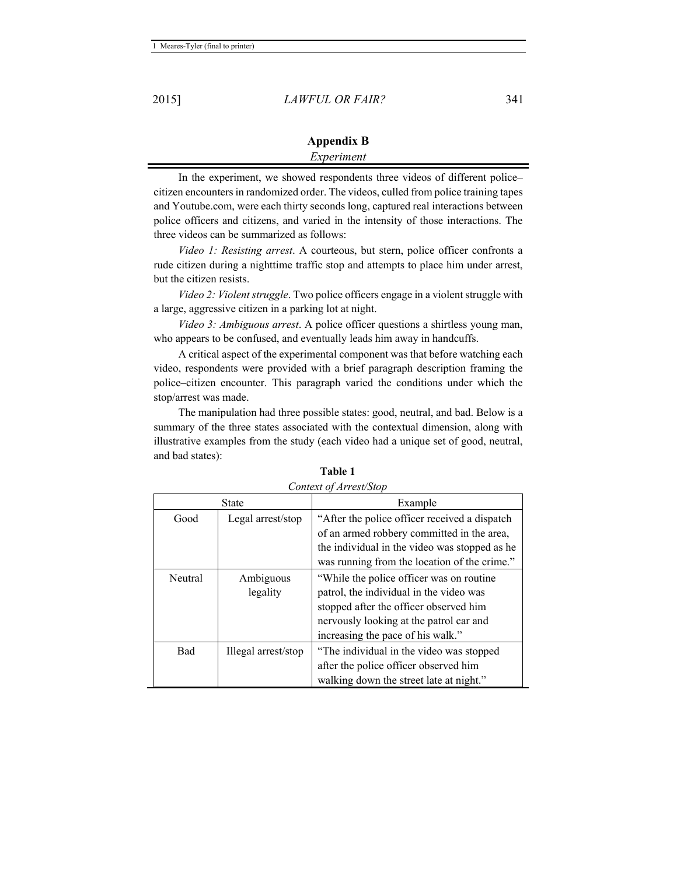| <b>Appendix B</b> |  |
|-------------------|--|
| Experiment        |  |

In the experiment, we showed respondents three videos of different police– citizen encounters in randomized order. The videos, culled from police training tapes and Youtube.com, were each thirty seconds long, captured real interactions between police officers and citizens, and varied in the intensity of those interactions. The three videos can be summarized as follows:

*Video 1: Resisting arrest*. A courteous, but stern, police officer confronts a rude citizen during a nighttime traffic stop and attempts to place him under arrest, but the citizen resists.

*Video 2: Violent struggle*. Two police officers engage in a violent struggle with a large, aggressive citizen in a parking lot at night.

*Video 3: Ambiguous arrest*. A police officer questions a shirtless young man, who appears to be confused, and eventually leads him away in handcuffs.

A critical aspect of the experimental component was that before watching each video, respondents were provided with a brief paragraph description framing the police–citizen encounter. This paragraph varied the conditions under which the stop/arrest was made.

The manipulation had three possible states: good, neutral, and bad. Below is a summary of the three states associated with the contextual dimension, along with illustrative examples from the study (each video had a unique set of good, neutral, and bad states):

| <b>State</b> |                       | Example                                                                                                                                                                                                        |
|--------------|-----------------------|----------------------------------------------------------------------------------------------------------------------------------------------------------------------------------------------------------------|
| Good         | Legal arrest/stop     | "After the police officer received a dispatch"<br>of an armed robbery committed in the area,<br>the individual in the video was stopped as he<br>was running from the location of the crime."                  |
| Neutral      | Ambiguous<br>legality | "While the police officer was on routine"<br>patrol, the individual in the video was<br>stopped after the officer observed him<br>nervously looking at the patrol car and<br>increasing the pace of his walk." |
| Bad          | Illegal arrest/stop   | "The individual in the video was stopped<br>after the police officer observed him<br>walking down the street late at night."                                                                                   |

**Table 1**  *Context of Arrest/Stop*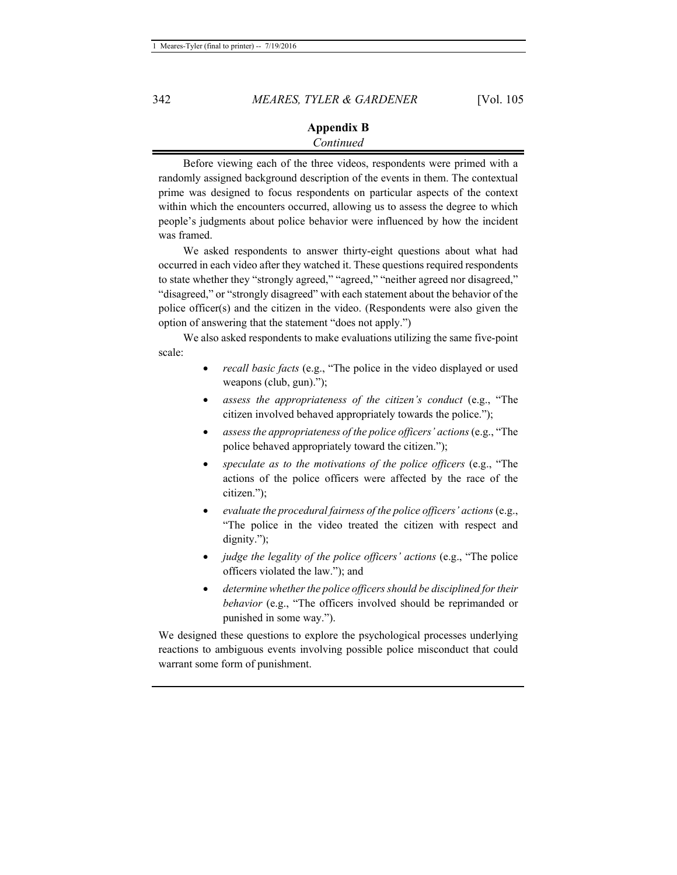#### **Appendix B**  *Continued*

Before viewing each of the three videos, respondents were primed with a randomly assigned background description of the events in them. The contextual prime was designed to focus respondents on particular aspects of the context within which the encounters occurred, allowing us to assess the degree to which people's judgments about police behavior were influenced by how the incident was framed.

We asked respondents to answer thirty-eight questions about what had occurred in each video after they watched it. These questions required respondents to state whether they "strongly agreed," "agreed," "neither agreed nor disagreed," "disagreed," or "strongly disagreed" with each statement about the behavior of the police officer(s) and the citizen in the video. (Respondents were also given the option of answering that the statement "does not apply.")

We also asked respondents to make evaluations utilizing the same five-point scale:

- *recall basic facts* (e.g., "The police in the video displayed or used weapons (club, gun).");
- *assess the appropriateness of the citizen's conduct* (e.g., "The citizen involved behaved appropriately towards the police.");
- *assess the appropriateness of the police officers' actions* (e.g., "The police behaved appropriately toward the citizen.");
- *speculate as to the motivations of the police officers* (e.g., "The actions of the police officers were affected by the race of the citizen.");
- *evaluate the procedural fairness of the police officers' actions* (e.g., "The police in the video treated the citizen with respect and dignity.");
- *judge the legality of the police officers' actions* (e.g., "The police officers violated the law."); and
- *determine whether the police officers should be disciplined for their behavior* (e.g., "The officers involved should be reprimanded or punished in some way.").

We designed these questions to explore the psychological processes underlying reactions to ambiguous events involving possible police misconduct that could warrant some form of punishment.